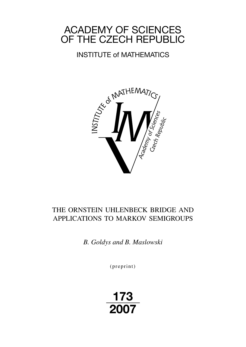# ACADEMY OF SCIENCES OF THE CZECH REPUBLIC

# INSTITUTE of MATHEMATICS



# THE ORNSTEIN UHLENBECK BRIDGE AND APPLICATIONS TO MARKOV SEMIGROUPS

*B. Goldys and B. Maslowski*

 $(p$  reprint $)$ 

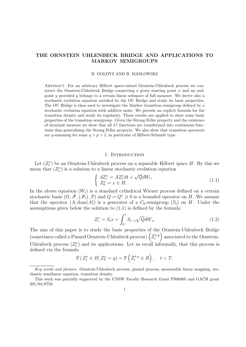# THE ORNSTEIN UHLENBECK BRIDGE AND APPLICATIONS TO MARKOV SEMIGROUPS

#### B. GOLDYS AND B. MASLOWSKI

Abstract. For an arbitrary Hilbert space-valued Ornstein-Uhlenbeck process we construct the Ornstein-Uhlenbeck Bridge connecting a given starting point  $x$  and an endpoint y provided y belongs to a certain linear subspace of full measure. We derive also a stochastic evolution equation satisfied by the OU Bridge and study its basic properties. The OU Bridge is then used to investigate the Markov transition semigroup defined by a stochastic evolution equation with additive noise. We provide an explicit formula for the transition density and study its regularity. These results are applied to show some basic properties of the transition semigroup. Given the Strong Feller property and the existence of invariant measure we show that all  $L^p$  functions are transformed into continuous functions thus generalising the Strong Feller property. We also show that transition operators are q-summing for some  $q > p > 1$ , in particular of Hilbert-Schmidt type.

#### 1. INTRODUCTION

Let  $(Z_t^x)$  be an Ornstein-Uhlenbeck process on a separable Hilbert space H. By this we mean that  $(Z_t^x)$  is a solution to a linear stochastic evolution equation

$$
\begin{cases}\ndZ_t^x = AZ_t^x dt + \sqrt{Q}dW_t, \\
Z_0^x = x \in H.\n\end{cases} \tag{1.1}
$$

In the above equation  $(W_t)$  is a standard cylindrical Wiener process defined on a certain stochastic basis  $(\Omega, \mathscr{F}, (\mathscr{F}_t), \mathbb{P})$  and  $Q = Q^* \geq 0$  is a bounded operator on H. We assume that the operator  $(A, dom(A))$  is a generator of a  $C_0$ -semigroup  $(S_t)$  on H. Under the assumptions given below the solution to (1.1) is defined by the formula

$$
Z_t^x = S_t x + \int_0^t S_{t-s} \sqrt{Q} dW_s.
$$
 (1.2)

The aim of this paper is to study the basic properties of the Ornstein-Uhlenbeck Bridge (sometimes called a Pinned Ornstein-Uhlenbeck process)  $(\hat{Z}_t^{x,y})$  associated to the Ornstein-Uhlenbeck process  $(Z_t^x)$  and its applications. Let us recall informally, that this process is defined via the formula

$$
\mathbb{P}\left(Z_t^x \in B | Z_T^x = y\right) = \mathbb{P}\left(\hat{Z}_t^{x,y} \in B\right), \quad t < T,
$$

Key words and phrases. Ornstein-Uhlenbeck process, pinned process, measurable linear mapping, stochastic semilinear equation, transition density.

This work was partially supported by the UNSW Faculty Research Grant PS06905 and GACR grant 201/04/0750.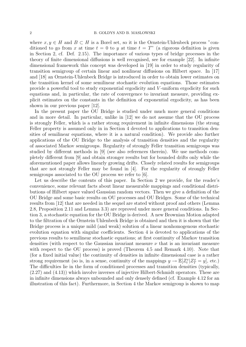where  $x, y \in H$  and  $B \subset H$  is a Borel set, so it is the Ornstein-Uhlenbeck process "conditioned to go from x at time  $t = 0$  to y at time  $t = T$ " (a rigorous definition is given in Section 2, cf. Def. 2.15). The importance of various types of bridge processes in the theory of finite dimensional diffusions is well recognised, see for example [22]. In infinite dimensional framework this concept was developed in [19] in order to study regularity of transition semigroup of certain linear and nonlinear diffusions on Hilbert space. In [17] and [18] an Ornstein-Uhlenbeck Bridge is introduced in order to obtain lower estimates on the transition kernel of some semilinear stochastic evolution equations. Those estimates provide a powerful tool to study exponential ergodicity and V -uniform ergodicity for such equations and, in particular, the rate of convergence to invariant measure, providing explicit estimates on the constants in the definition of exponential ergodicity, as has been shown in our previous paper [12].

In the present paper the OU Bridge is studied under much more general conditions and in more detail. In particular, unlike in [12] we do not assume that the OU process is strongly Feller, which is a rather strong requirement in infinite dimensions (the strong Feller property is assumed only in in Section 4 devoted to applications to transition densities of semilinear equations, where it is a natural condition). We provide also further applications of the OU Bridge to the analysis of transition densities and the regularity of associated Markov semigroups. Regularity of strongly Feller transition semigroups was studied by different methods in [9] (see also references therein). We use methods completely different from [9] and obtain stronger results but for bounded drifts only while the aforementioned paper allows linearly growing drifts. Closely related results for semigroups that are not strongly Feller may be found in [4]. For the regularity of strongly Feller semigroups associated to the OU process we refer to [6].

Let us describe the contents of this paper. In Section 2 we provide, for the reader's convenience, some relevant facts about linear measurable mappings and conditional distributions of Hilbert space valued Gaussian random vectors. Then we give a definition of the OU Bridge and some basic results on OU processes and OU Bridges. Some of the technical results from [12] that are needed in the sequel are stated without proof and others (Lemma 2.8, Proposition 2.11 and Lemma 3.3) are reproved under more general conditions. In Section 3, a stochastic equation for the OU Bridge is derived. A new Brownian Motion adapted to the filtration of the Ornstein Uhlenbeck Bridge is obtained and then it is shown that the Bridge process is a unique mild (and weak) solution of a linear nonhomogenous stochastic evolution equation with singular coefficients. Section 4 is devoted to applications of the previous results to semilinear stochastic equations; at first continuity of Markov transition densities (with respect to the Gaussian invariant measure  $\nu$  that is an invariant measure with respect to the OU process) is proved (Theorem 4.5 and Remark 4.10). Note that (for a fixed initial value) the continuity of densities in infinite dimensional case is a rather strong requirement (so is, in a sense, continuity of the mappings  $y \to \mathbb{E}[Z_t^x | Z_T^x = y]$ , etc.) The difficulties lie in the form of conditioned processes and transition densities (typically, (2.27) and (4.13)) which involve inverses of injective Hilbert-Schmidt operators. These are in infinite dimensions always unbounded and only densely defined (cf. Example 4.12 for an illustration of this fact). Furthermore, in Section 4 the Markov semigroup is shown to map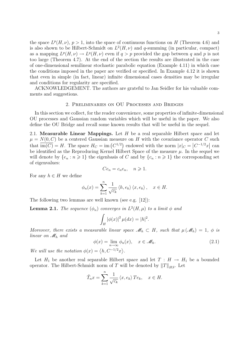the space  $L^p(H, \nu)$ ,  $p > 1$ , into the space of continuous functions on H (Theorem 4.6) and is also shown to be Hilbert-Schmidt on  $L^2(H, \nu)$  and q-summing (in particular, compact) as a mapping  $L^p(H, \nu) \to L^q(H, \nu)$  even if  $q > p$  provided the gap between q and p is not too large (Theorem 4.7). At the end of the section the results are illustrated in the case of one-dimensional semilinear stochastic parabolic equation (Example 4.11) in which case the conditions imposed in the paper are verified or specified. In Example 4.12 it is shown that even in simple (in fact, linear) infinite dimensional cases densities may be irregular and conditions for regularity are specified.

ACKNOWLEDGEMENT. The authors are grateful to Jan Seidler for his valuable comments and suggestions.

#### 2. Preliminaries on OU Processes and Bridges

In this section we collect, for the reader convenience, some properties of infinite-dimensional OU processes and Gaussian random variables which will be useful in the paper. We also define the OU Bridge and recall some known results that will be useful in the sequel.

2.1. Measurable Linear Mappings. Let  $H$  be a real separable Hilbert space and let  $\mu = N(0, C)$  be a centered Gaussian measure on H with the covariance operator C such that  $\overline{im(C)} = H$ . The space  $H_C = im(C^{1/2})$  endowed with the norm  $|x|_C = |C^{-1/2}x|$  can be identified as the Reproducing Kernel Hilbert Space of the measure  $\mu$ . In the sequel we will denote by  $\{e_n : n \geq 1\}$  the eigenbasis of C and by  $\{c_n : n \geq 1\}$  the corresponding set of eigenvalues:

$$
Ce_n = c_n e_n, \quad n \geq 1.
$$

For any  $h \in H$  we define

$$
\phi_n(x) = \sum_{k=1}^n \frac{1}{\sqrt{c_k}} \langle h, e_k \rangle \langle x, e_k \rangle, \quad x \in H.
$$

The following two lemmas are well known (see e.g. [12]):

**Lemma 2.1.** The sequence  $(\phi_n)$  converges in  $L^2(H,\mu)$  to a limit  $\phi$  and

$$
\int_H |\phi(x)|^2 \,\mu(dx) = |h|^2.
$$

Moreover, there exists a measurable linear space  $\mathcal{M}_h \subset H$ , such that  $\mu(\mathcal{M}_h) = 1$ ,  $\phi$  is linear on  $\mathcal{M}_h$  and

$$
\phi(x) = \lim_{n \to \infty} \phi_n(x), \quad x \in \mathcal{M}_h.
$$
\n(2.1)

We will use the notation  $\phi(x) = \langle h, C^{-1/2}x \rangle$ .

Let  $H_1$  be another real separable Hilbert space and let  $T : H \to H_1$  be a bounded operator. The Hilbert-Schmidt norm of T will be denoted by  $||T||_{HS}$ . Let

$$
\tilde{T}_n x = \sum_{k=1}^n \frac{1}{\sqrt{c_k}} \langle x, e_k \rangle Te_k, \quad x \in H.
$$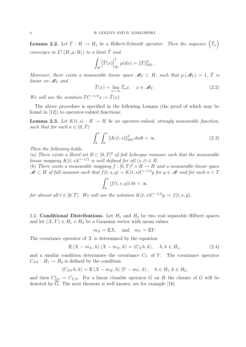**Lemma 2.2.** Let  $T : H \to H_1$  be a Hilbert-Schmidt operator. Then the sequence  $(\tilde{T}_n)$ converges in  $L^2(H, \mu; H_1)$  to a limit  $\tilde{T}$  and

$$
\int_H \left| \tilde{T}(x) \right|_{H_1}^2 \mu(dx) = ||T||_{HS}^2.
$$

Moreover, there exists a measurable linear space  $\mathscr{M}_T \subset H$ , such that  $\mu(\mathscr{M}_T) = 1$ ,  $\tilde{T}$  is linear on  $\mathcal{M}_T$  and

$$
\tilde{T}(x) = \lim_{n \to \infty} \tilde{T}_n x, \quad x \in \mathcal{M}_T.
$$
\n(2.2)

We will use the notation  $TC^{-1/2}x := \tilde{T}(x)$ .

The above procedure is specified in the following Lemma (the proof of which may be found in [12]) to operator-valued functions:

**Lemma 2.3.** Let  $K(t, s) : H \to H$  be an operator-valued, strongly measurable function, such that for each  $a \in (0, T)$ 

$$
\int_{0}^{a} \int_{0}^{a} \|K(t,s)\|_{HS}^{2} ds dt < \infty.
$$
 (2.3)

Then the following holds.

(a) There exists a Borel set  $B \subset [0,T]^2$  of full Lebesgue measure such that the measurable linear mapping  $K(t, s)C^{-1/2}$  is well defined for all  $(s, t) \in B$ .

(b) There exists a measurable mapping  $f : [0, T)^2 \times H \to H$  and a measurable linear space  $\mathscr{M} \subset H$  of full measure such that  $f(t, s, y) = K(t, s)C^{-1/2}y$  for  $y \in \mathscr{M}$  and for each  $a < T$ 

$$
\int_0^a |f(t,s,y)| ds < \infty
$$

for almost all  $t \in [0,T]$ . We will use the notation  $K(t,s)C^{-1/2}y := f(t,s,y)$ .

2.2. **Conditional Distributions.** Let  $H_1$  and  $H_2$  be two real separable Hilbert spaces and let  $(X, Y) \in H_1 \times H_2$  be a Gaussian vector with mean values

$$
m_X = \mathbb{E}X
$$
, and  $m_Y = \mathbb{E}Y$ .

The covariance operator of  $X$  is determined by the equation

$$
\mathbb{E}\left\langle X - m_X, h\right\rangle \left\langle X - m_X, k\right\rangle = \left\langle C_X h, k\right\rangle, \quad h, k \in H_1,\tag{2.4}
$$

and a similar condition determines the covariance  $C_Y$  of Y. The covariance operator  $C_{XY}: H_1 \to H_2$  is defined by the condition

$$
\left\langle C_{XY}h,k\right\rangle =\mathbb{E}\left\langle X-m_{X},h\right\rangle \left\langle Y-m_{Y},k\right\rangle ,\quad h\in H_{1},k\in H_{2},
$$

and then  $C_{XY}^* = C_{YX}$ . For a linear closable operator G on H the closure of G will be denoted by  $\overline{G}$ . The next theorem is well known, see for example [16]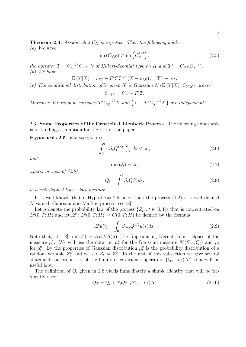**Theorem 2.4.** Assume that  $C_X$  is injective. Then the following holds. (a) We have

$$
\operatorname{im}\left(C_{YX}\right) \subset \operatorname{im}\left(C_X^{1/2}\right),\tag{2.5}
$$

the operator  $T = C_X^{-1/2} C_{YX}$  is of Hilbert-Schmidt type on H and  $T^* = C_{XY} C_X^{-1/2}$ . (b) We have

$$
\mathbb{E}(Y|X) = m_Y + T^* C_X^{-1/2} (X - m_X), \quad \mathbb{P}^X - a.s.
$$

(c) The conditional distribution of Y given X is Gaussian N  $(E(Y|X), C_{Y|X})$ , where

$$
C_{Y|X} = C_Y - T^*T.
$$

Moreover, the random variables  $T^* C_X^{-1/2} X$  and  $(Y - T^* C_X^{-1/2} X)$  are independent.

2.3. Some Properties of the Ornstein-Uhlenbeck Process. The following hypothesis is a standing assumption for the rest of the paper.

**Hypothesis 2.5.** For every  $t > 0$ 

$$
\int_{0}^{t} \|S_{s}Q^{1/2}\|_{HS}^{2} ds < \infty,
$$
\n(2.6)

and

$$
\overline{\text{im}\left(Q_t\right)} = H,\tag{2.7}
$$

where, in view of  $(2.6)$ 

$$
Q_t = \int_0^t S_s Q S_s^* ds. \tag{2.8}
$$

is a well defined trace class operator.

It is well known that if Hypothesis 2.5 holds then the process (1.2) is a well defined H-valued, Gaussian and Markov process, see [8].

Let  $\mu$  denote the probability law of the process  $\{Z_t^0 : t \in [0,1]\}$  that is concentrated on  $L^2(0,T;H)$  and let  $\mathscr{L}: L^2(0,T;H) \to C(0,T;H)$  be defined by the formula

$$
\mathcal{L}u(t) = \int_0^t S_{t-s} Q^{1/2} u(s) ds.
$$
\n(2.9)

Note that, cf. [8],  $\text{im}(\mathscr{L}) = RKHS(\mu)$  (the Reproducing Kernel Hilbert Space of the measure  $\mu$ ). We will use the notation  $\mu_t^x$  for the Gaussian measure  $N(S_t x, Q_t)$  and  $\mu_t$ for  $\mu_t^0$ . By the properties of Gaussian distribution  $\mu_t^x$  is the probability distribution of a random variable  $Z_t^x$  and we set  $Z_t = Z_t^0$ . In the rest of this subsection we give several statements on properties of the family of covariance operators  $\{Q_t: t \leq T\}$  that will be useful later.

The definition of  $Q_t$  given in 2.8 yields immediately a simple identity that will be frequently used:

$$
Q_T = Q_t + S_t Q_{T-t} S_t^*, \quad t \leq T. \tag{2.10}
$$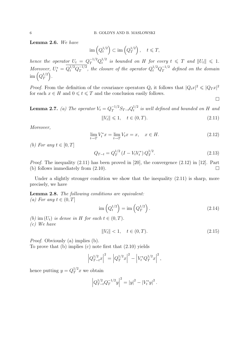Lemma 2.6. We have

$$
\operatorname{im}\left(Q_t^{1/2}\right) \subset \operatorname{im}\left(Q_T^{1/2}\right), \quad t \leq T,
$$

hence the operator  $U_t = Q_T^{-1/2} Q_t^{1/2}$  $t_t^{1/2}$  is bounded on H for every  $t \leqslant T$  and  $||U_t|| \leqslant 1$ . Moreover,  $U_t^* = Q_t^{1/2} Q_T^{-1/2}$  $T^{1/2}$ , the closure of the operator  $Q_t^{1/2} Q_T^{-1/2}$  $T^{1/2}$  defined on the domain  $\operatorname{im} \left( Q_T^{1/2}\right)$  $T^{\frac{1}{2}}$ .

*Proof.* From the definition of the covariance operators  $Q_t$  it follows that  $|Q_t x|^2 \leqslant |Q_T x|^2$ for each  $x \in H$  and  $0 \leq t \leq T$  and the conclusion easily follows.

**Lemma 2.7.** (a) The operator  $V_t = Q_T^{-1/2} S_{T-t} Q_t^{1/2}$  $t^{1/2}$  is well defined and bounded on H and

$$
||V_t|| \leq 1, \quad t \in (0, T). \tag{2.11}
$$

 $\Box$ 

Moreover,

$$
\lim_{t \to T} V_t^* x = \lim_{t \to T} V_t x = x, \quad x \in H. \tag{2.12}
$$

(b) For any  $t \in [0, T]$ 

$$
Q_{T-t} = Q_T^{1/2} \left( I - V_t V_t^* \right) Q_T^{1/2}.
$$
\n(2.13)

Proof. The inequality (2.11) has been proved in [20], the convergence (2.12) in [12]. Part (b) follows immediately from  $(2.10)$ .

Under a slightly stronger condition we show that the inequality  $(2.11)$  is sharp, more precisely, we have

Lemma 2.8. The following conditions are equivalent: (a) For any  $t \in (0, T]$ 

$$
\operatorname{im}\left(Q_t^{1/2}\right) = \operatorname{im}\left(Q_T^{1/2}\right). \tag{2.14}
$$

(b) im  $(U_t)$  is dense in H for each  $t \in (0, T)$ . (c) We have

$$
||V_t|| < 1, \quad t \in (0, T). \tag{2.15}
$$

Proof. Obviously (a) implies (b). To prove that (b) implies (c) note first that (2.10) yields

$$
\left|Q_{T-t}^{1/2}x\right|^2 = \left|Q_T^{1/2}x\right|^2 - \left|V_t^*Q_T^{1/2}x\right|^2,
$$

hence putting  $y = Q_T^{1/2} x$  we obtain

$$
\left|Q_{T-t}^{1/2}Q_T^{-1/2}y\right|^2 = |y|^2 - |V_t^*y|^2.
$$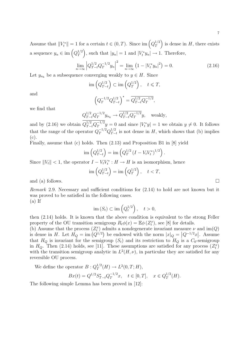Assume that  $||V_t^*|| = 1$  for a certain  $t \in (0, T)$ . Since im  $\left(Q_T^{1/2}\right)$  $T^{1/2}$  is dense in H, there exists a sequence  $y_n \in \text{im}\left(Q_T^{1/2}\right)$  $T^{1/2}$ , such that  $|y_n|=1$  and  $|V_t^*y_n| \to 1$ . Therefore,

$$
\lim_{n \to \infty} \left| Q_{T-t}^{1/2} Q_T^{-1/2} y_n \right|^2 = \lim_{n \to \infty} \left( 1 - |V_t^* y_n|^2 \right) = 0. \tag{2.16}
$$

Let  $y_{n_k}$  be a subsequence converging weakly to  $y \in H$ . Since

$$
\operatorname{im}\left(Q_{T-t}^{1/2}\right) \subset \operatorname{im}\left(Q_T^{1/2}\right), \quad t \leq T,
$$

and

$$
\left(Q_T^{-1/2}Q_{T-t}^{1/2}\right)^* = \overline{Q_{T-t}^{1/2}Q_T^{-1/2}},
$$

we find that

$$
Q_{T-t}^{1/2} Q_T^{-1/2} y_{n_k} \to \overline{Q_{T-t}^{1/2} Q_T^{-1/2}} y, \text{ weakly,}
$$

and by (2.16) we obtain  $Q_{T-t}^{1/2} Q_T^{-1/2}$  $T^{1/2}y = 0$  and since  $|V_t^*y| = 1$  we obtain  $y \neq 0$ . It follows that the range of the operator  $Q_T^{-1/2} Q_{T-}^{1/2}$  $T_{T-t}^{1/2}$  is not dense in H, which shows that (b) implies (c).

Finally, assume that (c) holds. Then (2.13) and Proposition B1 in [8] yield

$$
\text{im}\left(Q_{T-t}^{1/2}\right) = \text{im}\left(Q_T^{1/2}\left(I - V_t V_t^*\right)^{1/2}\right).
$$

Since  $||V_t|| < 1$ , the operator  $I - V_t V_t^* : H \to H$  is an isomorphism, hence

$$
\operatorname{im}\left(Q_{T-t}^{1/2}\right) = \operatorname{im}\left(Q_T^{1/2}\right), \quad t < T,
$$

and (a) follows.  $\Box$ 

Remark 2.9. Necessary and sufficient conditions for (2.14) to hold are not known but it was proved to be satisfied in the following cases.  $(a)$  If

$$
\operatorname{im}(S_t) \subset \operatorname{im}\left(Q_t^{1/2}\right), \quad t > 0,
$$

then (2.14) holds. It is known that the above condition is equivalent to the strong Feller property of the OU transition semigroup  $R_t\phi(x) = \mathbb{E}\phi(Z_t^x)$ , see [8] for details.

(b) Assume that the process  $(Z_t^x)$  admits a nondegenerate invariant measure  $\nu$  and  $\text{im}(Q)$ is dense in H. Let  $H_Q = \text{im}(Q^{1/2})$  be endowed with the norm  $|x|_Q = |Q^{-1/2}x|$ . Assume that  $H_Q$  is invariant for the semigroup  $(S_t)$  and its restriction to  $H_Q$  is a  $C_0$ -semigroup in  $H_Q$ . Then (2.14) holds, see [11]. These assumptions are satisfied for any process  $(Z_t^x)$ with the transition semigroup analytic in  $L^2(H, \nu)$ , in particular they are satisfied for any reversible OU process.

We define the operator 
$$
B: Q_T^{1/2}(H) \to L^2(0, T; H)
$$
,  
\n $Bx(t) = Q^{1/2} S_{T-t}^* Q_T^{-1/2} x, \quad t \in [0, T], \quad x \in Q_T^{1/2}(H)$ .

The following simple Lemma has been proved in [12]: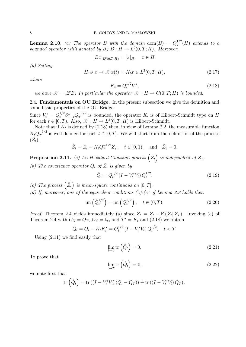**Lemma 2.10.** (a) The operator B with the domain dom(B) =  $Q_T^{1/2}$  $T^{1/2}(H)$  extends to a bounded operator (still denoted by B)  $B : H \to L^2(0,T;H)$ . Moreover,

$$
|Bx|_{L^2(0,T;H)} = |x|_H, \quad x \in H.
$$

(b) Setting

$$
H \ni x \to \mathcal{K}x(t) = K_t x \in L^2(0, T; H), \tag{2.17}
$$

where

$$
K_t = Q_t^{1/2} V_t^*,\tag{2.18}
$$

we have  $\mathscr{K} = \mathscr{L}B$ . In particular the operator  $\mathscr{K} : H \to C(0,T;H)$  is bounded.

2.4. Fundamentals on OU Bridge. In the present subsection we give the definition and some basic properties of the OU Bridge.

Since  $V_t^* = Q_t^{1/2} S_{T-t}^* Q_T^{-1/2}$  $T^{1/2}$  is bounded, the operator  $K_t$  is of Hilbert-Schmidt type on H for each  $t \in [0, T)$ . Also,  $\mathscr{K} : H \to L^2(0, T; H)$  is Hilbert-Schmidt.

Note that if  $K_t$  is defined by  $(2.18)$  then, in view of Lemma 2.2, the measurable function  $K_t Q_T^{-1/2}$  $T^{1/2}$  is well defined for each  $t \in [0, T]$ . We will start from the definition of the process  $(\hat{Z}_t),$ 

$$
\hat{Z}_t = Z_t - K_t Q_T^{-1/2} Z_T
$$
,  $t \in [0, 1)$ , and  $\hat{Z}_1 = 0$ .

**Proposition 2.11.** (a) An H-valued Gaussian process  $(\hat{Z}_t)$  is independent of  $Z_T$ .

(b) The covariance operator  $\hat{Q}_t$  of  $\hat{Z}_t$  is given by

$$
\hat{Q}_t = Q_t^{1/2} \left( I - V_t^* V_t \right) Q_t^{1/2}.
$$
\n(2.19)

(c) The process  $(\hat{Z}_t)$  is mean-square continuous on  $[0, T]$ .

(d) If, moreover, one of the equivalent conditions (a)-(c) of Lemma 2.8 holds then

$$
\text{im}\left(\hat{Q}_t^{1/2}\right) = \text{im}\left(Q_t^{1/2}\right), \quad t \in (0, T). \tag{2.20}
$$

*Proof.* Theorem 2.4 yields immediately (a) since  $\hat{Z}_t = Z_t - \mathbb{E}(Z_t | Z_T)$ . Invoking (c) of Theorem 2.4 with  $C_X = Q_T$ ,  $C_Y = Q_t$  and  $T^* = K_t$  and (2.18) we obtain

$$
\hat{Q}_t = Q_t - K_t K_t^* = Q_t^{1/2} \left( I - V_t^* V_t \right) Q_t^{1/2}, \quad t < T.
$$

Using (2.11) we find easily that

$$
\lim_{t \to 0} \text{tr}\left(\hat{Q}_t\right) = 0. \tag{2.21}
$$

To prove that

$$
\lim_{t \to T} \text{tr} \left( \hat{Q}_t \right) = 0,\tag{2.22}
$$

we note first that

$$
\operatorname{tr}\left(\hat{Q}_t\right) = \operatorname{tr}\left(\left(I - V_t^* V_t\right) \left(Q_t - Q_T\right)\right) + \operatorname{tr}\left(\left(I - V_t^* V_t\right) Q_T\right).
$$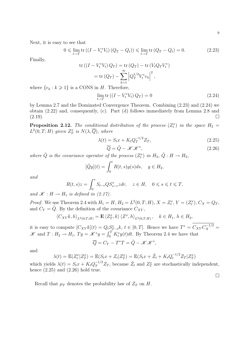9

 $\Box$ 

Next, it is easy to see that

$$
0 \le \lim_{t \to T} \text{tr} \left( (I - V_t^* V_t) \left( Q_T - Q_t \right) \right) \le \lim_{t \to T} \text{tr} \left( Q_T - Q_t \right) = 0. \tag{2.23}
$$

Finally,

$$
\operatorname{tr}\left(\left(I - V_t^* V_t\right) Q_T\right) = \operatorname{tr}\left(Q_T\right) - \operatorname{tr}\left(V_t Q_T V_t^*\right)
$$
\n
$$
= \operatorname{tr}\left(Q_T\right) - \sum_{k=1}^{\infty} \left|Q_T^{1/2} V_t^* e_k\right|^2,
$$
\n
$$
\operatorname{Gauss} = \sum_{k=1}^{\infty} \left|Q_T^{1/2} V_t^* e_k\right|^2,
$$

where  $\{e_k : k \geq 1\}$  is a CONS in H. Therefore,

$$
\lim_{t \to T} \operatorname{tr} \left( \left( I - V_t^* V_t \right) Q_T \right) = 0 \tag{2.24}
$$

by Lemma 2.7 and the Dominated Convergence Theorem. Combining (2.23) and (2.24) we obtain (2.22) and, consequently, (c). Part (d) follows immediately from Lemma 2.8 and  $(2.19)$ .

**Proposition 2.12.** The conditional distribution of the process  $(Z_t^x)$  in the space  $H_2 =$  $L^2(0,T;H)$  given  $Z^x_T$  is  $N(\lambda,\overline{Q})$ , where

$$
\lambda(t) = S_t x + K_t Q_T^{-1/2} Z_T,
$$
\n(2.25)

$$
\overline{Q} = \tilde{Q} - \mathcal{K}\mathcal{K}^*,\tag{2.26}
$$

where  $\tilde{Q}$  is the covariance operator of the process  $(Z_t^x)$  in  $H_2$ ,  $\tilde{Q}: H \to H_2$ ,

$$
[\tilde{Q}y](t) = \int_0^t R(t,s)y(s)ds, \quad y \in H_2,
$$

and

$$
R(t,s)z = \int_0^s S_{t-r}QS_{s-r}^*zdr, \quad z \in H, \quad 0 \le s \le t \le T,
$$

and  $\mathscr{K}: H \to H_1$  is defined in (2.17).

*Proof.* We use Theorem 2.4 with  $H_1 = H$ ,  $H_2 = L^2(0, T; H)$ ,  $X = Z_t^x$ ,  $Y = (Z_t^x)$ ,  $C_X = Q_T$ , and  $C_Y = \tilde{Q}$ . By the definition of the covariance  $C_{XY}$ ,

$$
\langle C_{XY}k, h \rangle_{L^2(0,T;H)} = \mathbf{E} \langle Z_T^x, k \rangle \langle Z^x, h \rangle_{L^2(0,T;H)}, \quad k \in H_1, h \in H_2,
$$

it is easy to compute  $[C_{XY}k](t) = Q_t S_{T-t}^* k$ ,  $t \in [0,T]$ . Hence we have  $T^* = C_{XY} C_X^{-1/2} =$  $\mathscr{K}$  and  $T: H_2 \to H_1$ ,  $Ty = \mathscr{K}^*y = \int_0^T K_t^* y(t) dt$ . By Theorem 2.4 we have that  $\overline{Q} = C_Y - T^*T = \tilde{Q} - \mathscr{K} \mathscr{K}^*,$ 

and

$$
\lambda(t) = \mathbb{E}(Z_t^x | Z_T^x) = \mathbb{E}(S_t x + Z_t | Z_T^x) = \mathbb{E}(S_t x + \hat{Z}_t + K_t Q_t^{-1/2} Z_T | Z_T^x)
$$

which yields  $\lambda(t) = S_t x + K_t Q_T^{-1/2} Z_T$ , because  $\hat{Z}_t$  and  $Z_T^x$  are stochastically independent, hence  $(2.25)$  and  $(2.26)$  hold true.

Recall that  $\mu_T$  denotes the probability law of  $Z_T$  on H.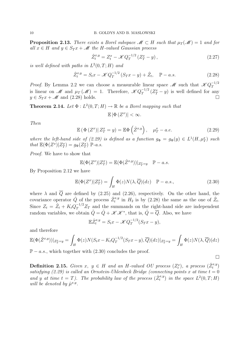**Proposition 2.13.** There exists a Borel subspace  $\mathcal{M} \subset H$  such that  $\mu_T(\mathcal{M}) = 1$  and for all  $x \in H$  and  $y \in S_T x + \mathcal{M}$  the H-valued Gaussian process

$$
\hat{Z}_t^{x,y} = Z_t^x - \mathcal{K} Q_T^{-1/2} \left( Z_T^x - y \right),\tag{2.27}
$$

is well defined with paths in  $L^2(0,T;H)$  and

$$
\hat{Z}_t^{x,y} = S_t x - \mathcal{K} Q_T^{-1/2} (S_T x - y) + \hat{Z}_t, \quad \mathbb{P} - a.s.
$$
 (2.28)

*Proof.* By Lemma 2.2 we can choose a measurable linear space  $\mathcal{M}$  such that  $\mathcal{K}Q_T^{-1/2}$ T is linear on M and  $\mu_T(\mathcal{M}) = 1$ . Therefore,  $\mathcal{K} Q_T^{-1/2}$  $T^{1/2}$   $(Z_T^x - y)$  is well defined for any  $y \in S_T x + \mathcal{M}$  and (2.28) holds.

**Theorem 2.14.** Let  $\Phi: L^2(0,T;H) \to \mathbb{R}$  be a Borel mapping such that

$$
\mathbb{E}\left|\Phi\left(Z^x\right)\right| < \infty.
$$

Then

$$
\mathbb{E}\left(\Phi\left(Z^{x}\right)|Z_{T}^{x}=y\right)=\mathbb{E}\Phi\left(\hat{Z}^{x,y}\right),\quad\mu_{T}^{x}-a.e.\tag{2.29}
$$

where the left-hand side of (2.29) is defined as a function  $g_{\Phi} = g_{\Phi}(y) \in L^{1}(H, \mu_{T}^{x})$  such that  $\mathbb{E}(\Phi(Z^x)|Z^x_T) = g_{\Phi}(Z^x_T) \mathbb{P}$ -a.s.

Proof. We have to show that

$$
\mathbb{E}(\Phi(Z^x)|Z^x_T) = \mathbb{E}(\Phi(\hat{Z}^{x,y}))|_{Z^x_T = y} \quad \mathbb{P}-a.s.
$$

By Proposition 2.12 we have

$$
\mathbb{E}(\Phi(Z^x)|Z^x_T) = \int_H \Phi(z)N(\lambda,\overline{Q})(dz) \quad \mathbb{P}-a.s.,\tag{2.30}
$$

 $\Box$ 

where  $\lambda$  and  $\overline{Q}$  are defined by (2.25) and (2.26), respectively. On the other hand, the covariance operator  $\hat{Q}$  of the process  $\hat{Z}_{t}^{x,y}$  in  $H_2$  is by (2.28) the same as the one of  $\hat{Z}_{t}$ . Since  $Z_t = \hat{Z}_t + K_t Q_T^{-1/2} Z_T$  and the summands on the right-hand side are independent random variables, we obtain  $\tilde{Q} = \hat{Q} + \mathscr{K} \mathscr{K}^*$ , that is,  $\hat{Q} = \overline{Q}$ . Also, we have

$$
\mathbb{E}\hat{Z}_t^{x,y} = S_t x - \mathcal{K}Q_T^{-1/2}(S_T x - y),
$$

and therefore

$$
\mathbb{E}(\Phi(\hat{Z}^{x,y}))|_{Z^x_T=y} = \int_H \Phi(z)N(S_tx - K_tQ_T^{-1/2}(S_Tx - y), \overline{Q})(dz)|_{Z^x_T=y} = \int_H \Phi(z)N(\lambda, \overline{Q})(dz)
$$

 $\mathbb{P} - a.s.,$  which together with (2.30) concludes the proof.

**Definition 2.15.** Given  $x, y \in H$  and an H-valued OU process  $(Z_t^x)$ , a process  $(\hat{Z}_t^{x,y})$ satisfying  $(2.29)$  is called an Ornstein-Uhlenbeck Bridge (connecting points x at time  $t = 0$ ) and y at time  $t = T$ ). The probability law of the process  $(\hat{Z}_t^{x,y})$  in the space  $L^2(0,T;H)$ will be denoted by  $\hat{\mu}^{x,y}$ .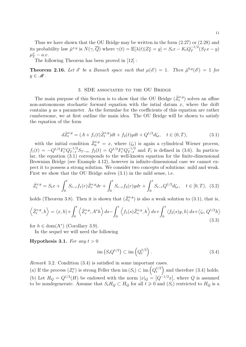Thus we have shown that the OU Bridge may be written in the form (2.27) or (2.28) and its probability law  $\hat{\mu}^{x,y}$  is  $N(\gamma, \overline{Q})$  where  $\gamma(t) = \mathbb{E}[\lambda(t)|Z_T^x = y] = S_t x - K_t Q_T^{-1/2}$  $T^{1/2} (S_T x - y)$  $\mu_T^x - a.e.$ 

The following Theorem has been proved in [12] :

**Theorem 2.16.** Let  $\mathscr E$  be a Banach space such that  $\mu(\mathscr E) = 1$ . Then  $\hat{\mu}^{0,y}(\mathscr E) = 1$  for  $y \in \mathcal{M}$ .

#### 3. SDE associated to the OU Bridge

The main purpose of this Section is to show that the OU Bridge  $(\hat{Z}^{x,y}_t)$  solves an affine non-autonomous stochastic forward equation with the intial datum  $x$ , where the drift contains y as a parameter. As the formulae for the coefficients of this equation are rather cumbersome, we at first outline the main idea. The OU Bridge will be shown to satisfy the equation of the form

$$
d\hat{Z}_t^{x,y} = (A + f_1(t)\hat{Z}_t^{x,y})dt + f_2(t)ydt + Q^{1/2}d\zeta_t, \quad t \in (0,T),
$$
\n(3.1)

with the initial condition  $\hat{Z}_0^{x,y} = x$ , where  $(\zeta_t)$  is again a cylindrical Wiener process,  $f_1(t) = -Q^{1/2}F_t^*Q_{T-t}^{-1/2}S_{T-s}, f_2(t) = Q^{1/2}F_t^*Q_{T-t}^{-1/2}$  $T-t/2$  and  $F_t$  is defined in (3.6). In particular, the equation (3.1) corresponds to the well-known equation for the finite-dimensional Brownian Bridge (see Example 4.12), however in infinite-dimensional case we cannot expect it to possess a strong solution. We consider two concepts of solutions: mild and weak. First we show that the OU Bridge solves (3.1) in the mild sense, i.e.

$$
\hat{Z}_t^{x,y} = S_t x + \int_0^t S_{t-r} f_1(r) \hat{Z}_r^{x,y} dr + \int_0^t S_{t-r} f_2(r) y dr + \int_0^t S_{t-r} Q^{1/2} d\zeta_r, \quad t \in [0, T), \tag{3.2}
$$

holds (Theorem 3.8). Then it is shown that  $(\hat{Z}_{t}^{x,y})$  is also a weak solution to (3.1), that is,

$$
\left\langle \hat{Z}_t^{x,y}, h \right\rangle = \left\langle x, h \right\rangle + \int_0^t \left\langle \hat{Z}_s^{x,y}, A^*h \right\rangle ds - \int_0^t \left\langle f_1(s)\hat{Z}_s^{x,y}, h \right\rangle ds + \int_0^t \left\langle f_2(s)y, h \right\rangle ds + \left\langle \zeta_t, Q^{1/2}h \right\rangle
$$
\n(3.3)

for  $h \in \text{dom}(A^*)$  (Corollary 3.9).

In the sequel we will need the following

### **Hypothesis 3.1.** For any  $t > 0$

$$
\operatorname{im}\left(S_t Q^{1/2}\right) \subset \operatorname{im}\left(Q_t^{1/2}\right). \tag{3.4}
$$

Remark 3.2. Condition (3.4) is satisfied in some important cases.

(a) If the process  $(Z_t^x)$  is strong Feller then im  $(S_t) \subset \text{im}\left(Q_t^{1/2}\right)$  $t^{1/2}$  and therefore (3.4) holds. (b) Let  $H_Q = Q^{1/2}(H)$  be endowed with the norm  $|x|_Q = |Q^{-1/2}x|$ , where Q is assumed to be nondegenerate. Assume that  $S_t H_Q \subset H_Q$  for all  $t \geq 0$  and  $(S_t)$  restricted to  $H_Q$  is a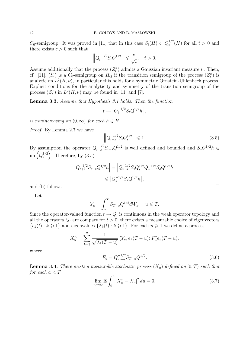$C_0$ -semigroup. It was proved in [11] that in this case  $S_t(H) \subset Q_t^{1/2}$  $t^{1/2}(H)$  for all  $t > 0$  and there exists  $c > 0$  such that

$$
\left\|Q_t^{-1/2}S_tQ^{1/2}\right\| \leqslant \frac{c}{\sqrt{t}},\quad t>0.
$$

Assume additionally that the process  $(Z_t^x)$  admits a Gaussian invariant measure  $\nu$ . Then, cf. [11],  $(S_t)$  is a  $C_0$ -semigroup on  $H_Q$  if the transition semigroup of the process  $(Z_t^x)$  is analytic on  $L^2(H, \nu)$ , in particular this holds for a symmetric Ornstein-Uhlenbeck process. Explicit conditions for the analyticity and symmetry of the transition semigroup of the process  $(Z_t^x)$  in  $L^2(H,\nu)$  may be found in [11] and [7].

Lemma 3.3. Assume that Hypothesis 3.1 holds. Then the function

$$
t \to \left| Q_t^{-1/2} S_t Q^{1/2} h \right|,
$$

is nonincreasing on  $(0, \infty)$  for each  $h \in H$ .

Proof. By Lemma 2.7 we have

$$
\left\| Q_{t+s}^{-1/2} S_t Q_s^{1/2} \right\| \leq 1. \tag{3.5}
$$

By assumption the operator  $Q_{t+s}^{-1/2} S_{t+s} Q^{1/2}$  is well defined and bounded and  $S_s Q^{1/2} h \in$ im  $(Q_s^{1/2})$ . Therefore, by  $(3.5)$ 

$$
\left| Q_{t+s}^{-1/2} S_{s+t} Q^{1/2} h \right| = \left| Q_{t+s}^{-1/2} S_t Q_s^{1/2} Q_s^{-1/2} S_s Q^{1/2} h \right|
$$
  

$$
\leqslant \left| Q_s^{-1/2} S_s Q^{1/2} h \right|,
$$

and (b) follows.  $\Box$ 

Let

$$
Y_u = \int_u^T S_{T-s} Q^{1/2} dW_s, \quad u \leq T.
$$

Since the operator-valued function  $t \to Q_t$  is continuous in the weak operator topology and all the operators  $Q_t$  are compact for  $t > 0$ , there exists a measurable choice of eigenvectors  ${e_k(t) : k \geq 1}$  and eigenvalues  ${\lambda_k(t) : k \geq 1}$ . For each  $n \geq 1$  we define a process

$$
X_u^n = \sum_{k=1}^n \frac{1}{\sqrt{\lambda_k(T-u)}} \langle Y_u, e_k(T-u) \rangle F_u^* e_k(T-u),
$$

where

$$
F_u = Q_{T-u}^{-1/2} S_{T-u} Q^{1/2}.
$$
\n(3.6)

**Lemma 3.4.** There exists a measurable stochastic process  $(X_u)$  defined on  $[0, T)$  such that for each  $a < T$ 

$$
\lim_{n \to \infty} \mathbb{E} \int_0^a |X_u^n - X_u|^2 \, du = 0. \tag{3.7}
$$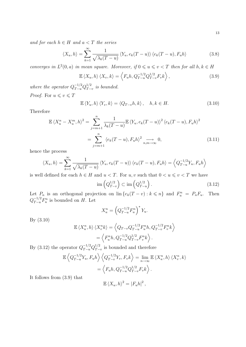and for each  $h \in H$  and  $a < T$  the series

$$
\langle X_u, h \rangle = \sum_{k=1}^{\infty} \frac{1}{\sqrt{\lambda_k(T-u)}} \langle Y_u, e_k(T-u) \rangle \langle e_k(T-u), F_u h \rangle \tag{3.8}
$$

converges in  $L^2(0, a)$  in mean square. Moreover, if  $0 \leq u \leq v < T$  then for all  $h, k \in H$ 

$$
\mathbb{E}\left\langle X_u, h \right\rangle \left\langle X_v, k \right\rangle = \left\langle F_u h, Q_{T-u}^{-1/2} Q_{T-v}^{1/2} F_v k \right\rangle, \tag{3.9}
$$

where the operator  $Q_{T-u}^{-1/2}Q_{T-u}^{1/2}$  $T-v$  is bounded. *Proof.* For  $u \leq v \leq T$ 

$$
\mathbb{E}\left\langle Y_u, h \right\rangle \left\langle Y_v, k \right\rangle = \left\langle Q_{T-v}h, k \right\rangle, \quad h, k \in H. \tag{3.10}
$$

**Therefore** 

$$
\mathbb{E}\left\langle X_u^n - X_u^m, h \right\rangle^2 = \sum_{j=m+1}^n \frac{1}{\lambda_k (T - u)} \mathbb{E}\left\langle Y_u, e_k (T - u) \right\rangle^2 \left\langle e_k (T - u), F_u h \right\rangle^2
$$

$$
= \sum_{j=m+1}^n \left\langle e_k (T - u), F_u h \right\rangle^2 \underset{n,m \to \infty}{\longrightarrow} 0,
$$
(3.11)

hence the process

$$
\langle X_u, h \rangle = \sum_{k=1}^{\infty} \frac{1}{\sqrt{\lambda_k(T-u)}} \langle Y_u, e_k(T-u) \rangle \langle e_k(T-u), F_u h \rangle = \left\langle Q_{T-u}^{-1/2} Y_u, F_u h \right\rangle
$$

is well defined for each  $h \in H$  and  $u < T$ . For  $u, v$  such that  $0 < u \leqslant v < T$  we have

$$
\operatorname{im}\left(Q_{T-v}^{1/2}\right) \subset \operatorname{im}\left(Q_{T-u}^{1/2}\right). \tag{3.12}
$$

Let  $P_n$  is an orthogonal projection on  $\text{lin}\left\{e_k(T-v):k\leqslant n\right\}$  and  $F_u^n = P_nF_u$ . Then  $Q_{T-u}^{-1/2}F_u^n$  is bounded on H. Let

$$
X_u^n = \left(Q_{T-u}^{-1/2} F_u^n\right)^* Y_u.
$$

By (3.10)

$$
\mathbb{E}\left\langle X_u^n, h \right\rangle \left\langle X_v^n k \right\rangle = \left\langle Q_{T-v} Q_{T-u}^{-1/2} F_u^n h, Q_{T-v}^{-1/2} F_v^n k \right\rangle
$$

$$
= \left\langle F_u^n h, Q_{T-u}^{-1/2} Q_{T-v}^{1/2} F_v^n k \right\rangle.
$$

By (3.12) the operator  $Q_{T-u}^{-1/2} Q_{T-u}^{1/2}$  $T-v$  is bounded and therefore

$$
\mathbb{E}\left\langle Q_{T-u}^{-1/2}Y_u, F_u h \right\rangle \left\langle Q_{T-v}^{-1/2}Y_v, F_v k \right\rangle = \lim_{n \to \infty} \mathbb{E}\left\langle X_u^n, h \right\rangle \left\langle X_v^n, k \right\rangle
$$

$$
= \left\langle F_u h, Q_{T-u}^{-1/2} Q_{T-v}^{1/2} F_v k \right\rangle.
$$

It follows from (3.9) that

$$
\mathbb{E}\left\langle X_u, h \right\rangle^2 = \left| F_u h \right|^2,
$$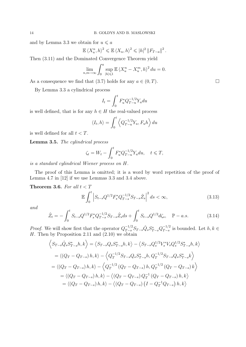and by Lemma 3.3 we obtain for  $u \leq a$ 

$$
\mathbb{E}\left\langle X_u^n, h\right\rangle^2 \leqslant \mathbb{E}\left\langle X_u, h\right\rangle^2 \leqslant |h|^2 \left\|F_{T-a}\right\|^2.
$$

Then (3.11) and the Dominated Convergence Theorem yield

$$
\lim_{n,m \to \infty} \int_0^a \sup_{|h| \leq 1} \mathbb{E} \left\langle X_u^n - X_u^m, h \right\rangle^2 du = 0.
$$

As a consequence we find that (3.7) holds for any  $a \in (0, T)$ .

By Lemma 3.3 a cylindrical process

$$
I_t = \int_0^t F_u^* Q_{T-u}^{-1/2} Y_u du
$$

is well defined, that is for any  $h \in H$  the real-valued process

$$
\langle I_t, h \rangle = \int_0^t \left\langle Q_{T-u}^{-1/2} Y_u, F_u h \right\rangle du
$$

is well defined for all  $t < T$ .

Lemma 3.5. The cylindrical process

$$
\zeta_t = W_t - \int_0^t F_u^* Q_{T-u}^{-1/2} Y_u du, \quad t \le T,
$$

is a standard cylindrical Wiener process on H.

The proof of this Lemma is omitted; it is a word by word repetition of the proof of Lemma 4.7 in [12] if we use Lemmas 3.3 and 3.4 above.

Theorem 3.6. For all  $t < T$ 

$$
\mathbb{E}\int_{0}^{t} \left| S_{t-s}Q^{1/2}F_{s}^{*}Q_{T-s}^{-1/2}S_{T-s}\hat{Z}_{s} \right|^{2} ds < \infty, \tag{3.13}
$$

and

$$
\hat{Z}_t = -\int_0^t S_{t-s} Q^{1/2} F_s^* Q_{T-s}^{-1/2} S_{T-s} \hat{Z}_s ds + \int_0^t S_{t-s} Q^{1/2} d\zeta_s, \quad \mathbb{P}-a.s.
$$
 (3.14)

*Proof.* We will show first that the operator  $Q_{T-s}^{-1/2} S_{T-s} \hat{Q}_s S_{T-s}^* Q_{T-s}^{-1/2}$  $T-s}^{-1/2}$  is bounded. Let  $h, k \in$ H. Then by Proposition 2.11 and  $(2.10)$  we obtain

$$
\begin{aligned}\n\left\langle S_{T-s}\hat{Q}_s S_{T-s}^* h, k \right\rangle &= \left\langle S_{T-s}Q_s S_{T-s}^* h, k \right\rangle - \left\langle S_{T-s}Q_s^{1/2}V_s^* V_s Q_s^{1/2} S_{T-s}^* h, k \right\rangle \\
&= \left\langle (Q_T - Q_{T-s}) h, k \right\rangle - \left\langle Q_T^{-1/2} S_{T-s} Q_s S_{T-s}^* h, Q_T^{-1/2} S_{T-s} Q_s S_{T-s}^* k \right\rangle \\
&= \left\langle (Q_T - Q_{T-s}) h, k \right\rangle - \left\langle Q_T^{-1/2} (Q_T - Q_{T-s}) h, Q_T^{-1/2} (Q_T - Q_{T-s}) k \right\rangle \\
&= \left\langle (Q_T - Q_{T-s}) h, k \right\rangle - \left\langle (Q_T - Q_{T-s}) Q_T^{-1} (Q_T - Q_{T-s}) h, k \right\rangle \\
&= \left\langle (Q_T - Q_{T-s}) h, k \right\rangle - \left\langle (Q_T - Q_{T-s}) (I - Q_T^{-1} Q_{T-s}) h, k \right\rangle\n\end{aligned}
$$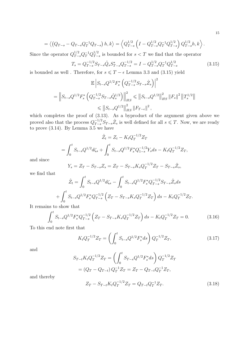$$
= \left\langle \left(Q_{T-s} - Q_{T-s}Q_T^{-1}Q_{T-s}\right)h, k \right\rangle = \left\langle Q_{T-s}^{1/2} \left(I - Q_{T-s}^{1/2}Q_T^{-1}Q_{T-s}^{1/2}\right)Q_{T-s}^{1/2}h, k \right\rangle
$$

Since the operator  $Q_{T-s}^{1/2} Q_T^{-1} Q_{T-s}^{1/2}$  $T_{T-s}^{1/2}$  is bounded for  $s < T$  we find that the operator

$$
T_s = Q_{T-s}^{-1/2} S_{T-s} \hat{Q}_s S_{T-s}^* Q_{T-s}^{-1/2} = I - Q_{T-s}^{1/2} Q_T^{-1} Q_{T-s}^{1/2}
$$
(3.15)

is bounded as well . Therefore, for  $s \leq T - \epsilon$  Lemma 3.3 and (3.15) yield

$$
\mathbb{E}\left|S_{t-s}Q^{1/2}F_s^*\left(Q_{T-s}^{-1/2}S_{T-s}\hat{Z}_s\right)\right|^2\right|
$$
  
= 
$$
\left\|S_{t-s}Q^{1/2}F_s^*\left(Q_{T-s}^{-1/2}S_{T-s}\hat{Q}_s^{1/2}\right)\right\|_{HS}^2 \leqslant \left\|S_{t-s}Q^{1/2}\right\|_{HS}^2\left\|F_s\right\|^2\left\|T_s^{1/2}\right\|_{HS}^2\left\|F_{T-\epsilon}\right\|^2,
$$

which completes the proof of  $(3.13)$ . As a byproduct of the argument given above we proved also that the process  $Q_{T-s}^{-1/2} S_{T-s} \hat{Z}_s$  is well defined for all  $s \leq T$ . Now, we are ready to prove (3.14). By Lemma 3.5 we have

$$
\hat{Z}_t = Z_t - K_t Q_T^{-1/2} Z_T
$$
  
= 
$$
\int_0^t S_{t-s} Q^{1/2} d\zeta_s + \int_0^t S_{t-s} Q^{1/2} F_s^* Q_{1-s}^{-1/2} Y_s ds - K_t Q_T^{-1/2} Z_T,
$$

and since

$$
Y_s = Z_T - S_{T-s}Z_s = Z_T - S_{T-s}K_sQ_T^{-1/2}Z_T - S_{T-s}\hat{Z}_s,
$$

we find that

$$
\hat{Z}_t = \int_0^t S_{t-s} Q^{1/2} d\zeta_s - \int_0^t S_{t-s} Q^{1/2} F_s^* Q_{T-s}^{-1/2} S_{T-s} \hat{Z}_s ds
$$

$$
+ \int_0^t S_{t-s} Q^{1/2} F_s^* Q_{T-s}^{-1/2} \left( Z_T - S_{T-s} K_s Q_T^{-1/2} Z_T \right) ds - K_t Q_T^{-1/2} Z_T.
$$

It remains to show that

$$
\int_0^t S_{t-s} Q^{1/2} F_s^* Q_{T-s}^{-1/2} \left( Z_T - S_{T-s} K_s Q_T^{-1/2} Z_T \right) ds - K_t Q_T^{-1/2} Z_T = 0. \tag{3.16}
$$

To this end note first that

$$
K_t Q_T^{-1/2} Z_T = \left( \int_0^t S_{t-s} Q^{1/2} F_s^* ds \right) Q_T^{-1/2} Z_T, \tag{3.17}
$$

and

$$
S_{T-t}K_tQ_T^{-1/2}Z_T = \left(\int_0^t S_{T-s}Q^{1/2}F_s^*ds\right)Q_T^{-1/2}Z_T
$$
  
=  $(Q_T - Q_{T-t})Q_T^{-1}Z_T = Z_T - Q_{T-t}Q_T^{-1}Z_T,$ 

and thereby

$$
Z_T - S_{T-t} K_t Q_T^{-1/2} Z_T = Q_{T-t} Q_T^{-1} Z_T.
$$
\n(3.18)

.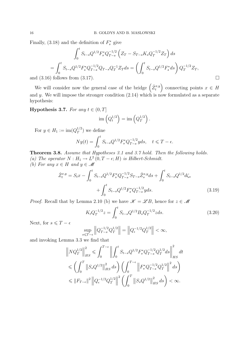Finally, (3.18) and the definition of  $F_s^*$  give

$$
\int_0^t S_{t-s} Q^{1/2} F_s^* Q_{T-s}^{-1/2} \left( Z_T - S_{T-s} K_s Q_T^{-1/2} Z_T \right) ds
$$
  
= 
$$
\int_0^t S_{t-s} Q^{1/2} F_s^* Q_{T-s}^{-1/2} Q_{T-s} Q_T^{-1} Z_T ds = \left( \int_0^t S_{t-s} Q^{1/2} F_s^* ds \right) Q_T^{-1/2} Z_T,
$$
  
and (3.16) follows from (3.17).

We will consider now the general case of the bridge  $(\hat{Z}^{x,y}_t)$  connecting points  $x \in H$ and y. We will impose the stronger condition  $(2.14)$  which is now formulated as a separate hypothesis:

Hypothesis 3.7. For any  $t \in (0, T]$ 

$$
\operatorname{im}\left(Q_t^{1/2}\right) = \operatorname{im}\left(Q_T^{1/2}\right).
$$

For  $y \in H_1 := \text{im}(Q_T^{1/2})$  $T^{1/2}$ ) we define

$$
Ny(t) = \int_0^t S_{t-s} Q^{1/2} F_s^* Q_{T-s}^{-1/2} y ds, \quad t \le T - \epsilon.
$$

Theorem 3.8. Assume that Hypotheses 3.1 and 3.7 hold. Then the following holds. (a) The operator  $N: H_1 \to L^2(0, T - \epsilon; H)$  is Hilbert-Schmidt.

(b) For any  $x \in H$  and  $y \in \mathcal{M}$ 

$$
\hat{Z}_t^{x,y} = S_t x - \int_0^t S_{t-s} Q^{1/2} F_s^* Q_{T-s}^{-1/2} S_{T-s} \hat{Z}_s^{x,y} ds + \int_0^t S_{t-s} Q^{1/2} d\zeta_s + \int_0^t S_{t-s} Q^{1/2} F_s^* Q_{T-s}^{-1/2} y ds.
$$
\n(3.19)

*Proof.* Recall that by Lemma 2.10 (b) we have  $\mathscr{K} = \mathscr{L}B$ , hence for  $z \in \mathscr{M}$ 

$$
K_t Q_T^{-1/2} z = \int_0^t S_{t-s} Q^{1/2} B_s Q_T^{-1/2} z ds.
$$
 (3.20)

Next, for  $s \leq T - \epsilon$ 

$$
\sup_{s \leq T-\epsilon} \left\| Q_{T-s}^{-1/2} Q_T^{1/2} \right\| = \left\| Q_{\epsilon}^{-1/2} Q_T^{1/2} \right\| < \infty,
$$

and invoking Lemma 3.3 we find that

$$
\|NQ_T^{1/2}\|_{HS}^2 \leq \int_0^{T-\epsilon} \left\| \int_0^t S_{t-s} Q^{1/2} F_s^* Q_{T-s}^{-1/2} Q_T^{1/2} ds \right\|_{HS}^2 dt
$$
  

$$
\leq \left( \int_0^T \|S_s Q^{1/2}\|_{HS}^2 ds \right) \left( \int_0^{T-\epsilon} \left\| F_s^* Q_{T-s}^{-1/2} Q_T^{1/2} \right\|^2 ds \right)
$$
  

$$
\leq \|F_{T-\epsilon}\|^2 \left\| Q_{\epsilon}^{-1/2} Q_T^{1/2} \right\|^2 \left( \int_0^T \|S_s Q^{1/2}\|_{HS}^2 ds \right) < \infty.
$$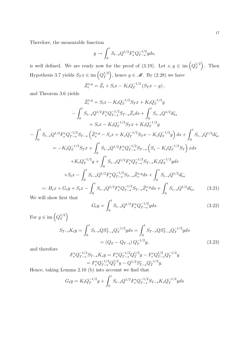Therefore, the measurable function

$$
y \to \int_0^t S_{t-s} Q^{1/2} F_s^* Q_{T-s}^{-1/2} y ds,
$$

is well defined. We are ready now for the proof of (3.19). Let  $x, y \in \text{im}\left(Q_T^{1/2}\right)$  $T^{1/2}$ . Then Hypothesis 3.7 yields  $S_T x \in \text{im}\left(Q_T^{1/2}\right)$  $T^{1/2}_{T}$ , hence  $y \in \mathcal{M}$ . By (2.28) we have

$$
\hat{Z}_t^{x,y} = \hat{Z}_t + S_t x - K_t Q_T^{-1/2} (S_T x - y),
$$

−1/2

and Theorem 3.6 yields

$$
\hat{Z}_{t}^{x,y} = S_{t}x - K_{t}Q_{T}^{-1/2}S_{T}x + K_{t}Q_{T}^{-1/2}y
$$
\n
$$
-\int_{0}^{t} S_{t-s}Q^{1/2}F_{s}^{*}Q_{T-s}^{-1/2}S_{T-s}\hat{Z}_{s}ds + \int_{0}^{t} S_{t-s}Q^{1/2}d\zeta_{s}
$$
\n
$$
= S_{t}x - K_{t}Q_{T}^{-1/2}S_{T}x + K_{t}Q_{T}^{-1/2}y
$$
\n
$$
-\int_{0}^{t} S_{t-s}Q^{1/2}F_{s}^{*}Q_{T-s}^{-1/2}S_{T-s}\left(\hat{Z}_{s}^{x,y} - S_{s}x + K_{s}Q_{T}^{-1/2}S_{T}x - K_{s}Q_{T}^{-1/2}y\right)ds + \int_{0}^{t} S_{t-s}Q^{1/2}d\zeta_{s}
$$
\n
$$
= -K_{t}Q_{T}^{-1/2}S_{T}x + \int_{0}^{t} S_{t-s}Q^{1/2}F_{s}^{*}Q_{T-s}^{-1/2}S_{T-s}\left(S_{s} - K_{s}Q_{T}^{-1/2}S_{T}\right)xds
$$
\n
$$
+ K_{t}Q_{T}^{-1/2}y + \int_{0}^{t} S_{t-s}Q^{1/2}F_{s}^{*}Q_{T-s}^{-1/2}S_{T-s}K_{s}Q_{T}^{-1/2}yds
$$
\n
$$
+ S_{t}x - \int_{0}^{t} S_{t-s}Q^{1/2}F_{s}^{*}Q_{T-s}^{-1/2}S_{T-s}\hat{Z}_{s}^{x,y}ds + \int_{0}^{t} S_{t-s}Q^{1/2}d\zeta_{s}
$$
\n
$$
=: H_{t}x + G_{t}y + S_{t}x - \int_{0}^{t} S_{t-s}Q^{1/2}F_{s}^{*}Q_{T-s}^{-1/2}S_{T-s}\hat{Z}_{s}^{x,y}ds + \int_{0}^{t} S_{t-s}Q^{1/2}d\zeta_{s}.
$$
\n(3.21)

We will show first that

$$
G_t y = \int_0^t S_{t-s} Q^{1/2} F_s^* Q_{T-s}^{-1/2} y ds.
$$
 (3.22)

For  $y \in \text{im}\left( Q_T^{1/2}\right)$  $T^{\left( 2\right) }$ 

$$
S_{T-t}K_t y = \int_0^t S_{t-s}QS_{T-s}^* Q_T^{-1/2} y ds = \int_0^t S_{T-s}QS_{T-s}^* Q_T^{-1/2} y ds
$$
  
=  $(Q_T - Q_{T-t}) Q_T^{-1/2} y,$  (3.23)

and therefore

$$
F_s^* Q_{T-s}^{-1/2} S_{T-s} K_s y = F_s^* Q_{T-s}^{-1/2} Q_T^{1/2} y - F_s^* Q_{T-s}^{1/2} Q_T^{-1/2} y
$$
  
= 
$$
F_s^* Q_{T-s}^{-1/2} Q_T^{1/2} y - Q^{1/2} S_{T-s}^* Q_T^{-1/2} y.
$$

Hence, taking Lemma 2.10 (b) into account we find that

$$
G_t y = K_t Q_T^{-1/2} y + \int_0^t S_{t-s} Q^{1/2} F_s^* Q_{T-s}^{-1/2} S_{T-s} K_s Q_T^{-1/2} y ds
$$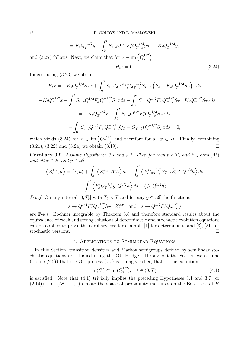$$
= K_t Q_T^{-1/2} y + \int_0^t S_{t-s} Q^{1/2} F_s^* Q_{T-s}^{-1/2} y ds - K_t Q_T^{-1/2} y,
$$
  
and (3.22) follows. Next, we claim that for  $x \in \text{im} \left( Q_T^{1/2} \right)$   

$$
H_t x = 0.
$$
 (3.24)

Indeed, using (3.23) we obtain

$$
H_t x = -K_t Q_T^{-1/2} S_T x + \int_0^t S_{t-s} Q^{1/2} F_s^* Q_{T-s}^{-1/2} S_{T-s} \left( S_s - K_s Q_T^{-1/2} S_T \right) x ds
$$
  
\n
$$
= -K_t Q_T^{-1/2} x + \int_0^t S_{t-s} Q^{1/2} F_s^* Q_{T-s}^{-1/2} S_T x ds - \int_0^t S_{t-s} Q^{1/2} F_s^* Q_{T-s}^{-1/2} S_{T-s} K_s Q_T^{-1/2} S_T x ds
$$
  
\n
$$
= -K_t Q_T^{-1/2} x + \int_0^t S_{t-s} Q^{1/2} F_s^* Q_{T-s}^{-1/2} S_T x ds
$$
  
\n
$$
- \int_0^t S_{t-s} Q^{1/2} F_s^* Q_{T-s}^{-1/2} (Q_T - Q_{T-t}) Q_T^{-1/2} S_T x ds = 0,
$$

which yields (3.24) for  $x \in \text{im}\left(Q_T^{1/2}\right)$  $T^{1/2}_{T}$  and therefore for all  $x \in H$ . Finally, combining  $(3.21), (3.22)$  and  $(3.24)$  we obtain  $(3.19)$ .

Corollary 3.9. Assume Hypotheses 3.1 and 3.7. Then for each  $t < T$ , and  $h \in \text{dom}(A^*)$ and all  $x \in H$  and  $y \in \mathcal{M}$ 

$$
\left\langle \hat{Z}_{t}^{x,y},h \right\rangle = \left\langle x,h \right\rangle + \int_{0}^{t} \left\langle \hat{Z}_{s}^{x,y},A^{*}h \right\rangle ds - \int_{0}^{t} \left\langle F_{s}^{*}Q_{T-s}^{-1/2}S_{T-s}\hat{Z}_{s}^{x,y},Q^{1/2}h \right\rangle ds + \int_{0}^{t} \left\langle F_{s}^{*}Q_{T-s}^{-1/2}y,Q^{1/2}h \right\rangle ds + \left\langle \zeta_{t},Q^{1/2}h \right\rangle.
$$

*Proof.* On any interval [0, T<sub>0</sub>] with  $T_0 < T$  and for any  $y \in \mathcal{M}$  the functions

$$
s \to Q^{1/2} F_s^* Q_{T-s}^{-1/2} S_{T-s} \hat{Z}_s^{x,y}
$$
 and  $s \to Q^{1/2} F_s^* Q_{T-s}^{-1/2} y$ 

are P-a.s. Bochner integrable by Theorem 3.8 and therefore standard results about the equivalence of weak and strong solutions of deterministic and stochastic evolution equations can be applied to prove the corollary, see for example [1] for deterministic and [3], [21] for stochastic versions.

#### 4. Applications to Semilinear Equations

In this Section, transition densities and Markov semigroups defined by semilinear stochastic equations are studied using the OU Bridge. Throughout the Section we assume (beside (2.5)) that the OU process  $(Z_t^x)$  is strongly Feller, that is, the condition

$$
\text{im}(S_t) \subset \text{im}(Q_t^{1/2}), \quad t \in (0, T), \tag{4.1}
$$

is satisfied. Note that (4.1) trivially implies the preceding Hypotheses 3.1 and 3.7 (or (2.14)). Let  $(\mathscr{P}, \|.\|_{var})$  denote the space of probability measures on the Borel sets of H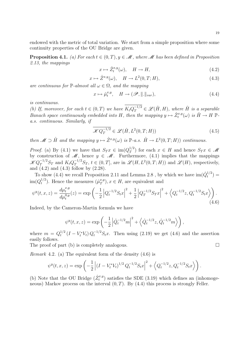endowed with the metric of total variation. We start from a simple proposition where some continuity properties of the OU Bridge are given.

**Proposition 4.1.** (a) For each  $t \in (0, T), y \in \mathcal{M}$ , where  $\mathcal{M}$  has been defined in Proposition 2.13, the mappings

$$
x \mapsto \hat{Z}_t^{x,y}(\omega), \quad H \to H,\tag{4.2}
$$

$$
x \mapsto \hat{Z}^{x,y}(\omega), \quad H \to L^2(0,T;H), \tag{4.3}
$$

are continuous for  $\mathbb{P}\text{-almost all }\omega \in \Omega$ , and the mapping

$$
x \mapsto \hat{\mu}_t^{x,y}, \quad H \to (\mathscr{P}, \| \|_{var}), \tag{4.4}
$$

is continuous.

(b) If, moreover, for each  $t \in (0, T)$  we have  $K_t Q_T^{-1/2} \in \mathscr{L}(\hat{H}, H)$ , where  $\hat{H}$  is a separable Banach space continuously embedded into H, then the mapping  $y \mapsto \hat{Z}_t^{x,y}(\omega)$  is  $\hat{H} \to H \mathbb{P}$ a.s. continuous. Similarly, if

$$
\overline{\mathcal{K}Q_T^{-1/2}} \in \mathcal{L}(\hat{H}, L^2(0, T; H))
$$
\n(4.5)

then  $\mathscr{M} \supset \hat{H}$  and the mapping  $y \mapsto \hat{Z}^{x,y}(\omega)$  is  $\mathbb{P}\text{-}a.s.$   $\hat{H} \to L^2(0,T;H)$  continuous.

*Proof.* (a) By (4.1) we have that  $S_T x \in \text{im}(Q_T^{1/2})$  $T^{1/2}$  for each  $x \in H$  and hence  $S_T x \in \mathcal{M}$ by construction of  $\mathscr{M}$ , hence  $y \in \mathscr{M}$ . Furthermore, (4.1) implies that the mappings  $\mathscr{K}Q_T^{-1/2}S_T$  and  $K_tQ_T^{-1/2}S_T$ ,  $t \in (0,T]$ , are in  $\mathscr{L}(H,L^2(0,T;H))$  and  $\mathscr{L}(H)$ , respectively, and  $(4.2)$  and  $(4.3)$  follow by  $(2.28)$ .

To show (4.4) we recall Proposition 2.11 and Lemma 2.8, by which we have  $\text{im}(\hat{Q}^{1/2}_t)$  $t^{1/2}$ ) =  $\mathrm{im}(Q_t^{1/2}$  $t^{1/2}$ ). Hence the measures  $(\hat{\mu}_T^{x,y})$  $_{T}^{x,y}$ ,  $x \in H$ , are equivalent and

$$
\psi^{y}(t,x,z) = \frac{d\mu_{t}^{x,y}}{d\mu_{t}^{0,y}}(z) = \exp\left(-\frac{1}{2}\left|Q_{t}^{-1/2}S_{t}x\right|^{2} + \frac{1}{2}\left|Q_{T}^{-1/2}S_{T}x\right|^{2} + \left\langle Q_{t}^{-1/2}z, Q_{t}^{-1/2}S_{t}x\right\rangle\right).
$$
\n(4.6)

Indeed, by the Cameron-Martin formula we have

$$
\psi^{y}(t, x, z) = \exp\left(-\frac{1}{2}\left|\hat{Q}_{t}^{-1/2}m\right|^{2} + \left\langle \hat{Q}_{t}^{-1/2}z, \hat{Q}_{t}^{-1/2}m\right\rangle\right),\,
$$

where  $m = Q_t^{1/2}$  $t_t^{1/2}$   $(I - V_t^* V_t) Q_t^{-1/2} S_t x$ . Then using (2.19) we get (4.6) and the assertion easily follows.

The proof of part (b) is completely analogous.  $\Box$ 

*Remark* 4.2. (a) The equivalent form of the density  $(4.6)$  is

$$
\psi^{y}(t,x,z) = \exp\left(-\frac{1}{2}\left| (I - V_t^* V_t)^{1/2} Q_t^{-1/2} S_t x \right|^2 + \left\langle Q_t^{-1/2} z, Q_t^{-1/2} S_t x \right\rangle \right).
$$

(b) Note that the OU Bridge  $(\hat{Z}_t^{x,y})$  satisfies the SDE (3.19) which defines an (inhomogeneous) Markov process on the interval  $(0, T)$ . By  $(4.4)$  this process is strongly Feller.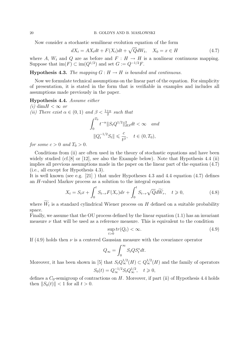#### 20 B. GOLDYS AND B. MASLOWSKI

Now consider a stochastic semilinear evolution equation of the form

$$
dX_t = AX_t dt + F(X_t)dt + \sqrt{Q}dW_t, \quad X_0 = x \in H \tag{4.7}
$$

where A,  $W_t$  and Q are as before and  $F : H \to H$  is a nonlinear continuous mapping. Suppose that  $\text{im}(F) \subset \text{im}(Q^{1/2})$  and set  $G := Q^{-1/2}F$ .

**Hypothesis 4.3.** The mapping  $G : H \to H$  is bounded and continuous.

Now we formulate technical assumptions on the linear part of the equation. For simplicity of presentation, it is stated in the form that is verifiable in examples and includes all assumptions made previously in the paper.

Hypothesis 4.4. Assume either (i) dim $H < \infty$  or (ii) There exist  $\alpha \in (0,1)$  and  $\beta < \frac{1+\alpha}{2}$  such that  $\int^{T_0}$ 0  $t^{-\alpha} \|S_t Q^{1/2}\|_{HS}^2 dt < \infty$  and  $||Q_t^{-1/2}S_t|| \leqslant \frac{c}{t}$  $\frac{\epsilon}{t^{\beta}}, \quad t \in (0, T_0),$ 

for some  $c > 0$  and  $T_0 > 0$ .

Conditions from (ii) are often used in the theory of stochastic equations and have been widely studied (cf. [8] or [12], see also the Example below). Note that Hypothesis 4.4 (ii) implies all previous assumptions made in the paper on the linear part of the equation (4.7) (i.e., all except for Hypothesis 4.3).

It is well known (see e.g. [21] ) that under Hypotheses 4.3 and 4.4 equation (4.7) defines an H-valued Markov process as a solution to the integral equation

$$
X_t = S_t x + \int_0^t S_{t-r} F(X_r) dr + \int_0^t S_{t-r} \sqrt{Q} d\widetilde{W}_r, \quad t \ge 0,
$$
\n(4.8)

where  $W_t$  is a standard cylindrical Wiener process on H defined on a suitable probability space.

Finally, we assume that the OU process defined by the linear equation (1.1) has an invariant measure  $\nu$  that will be used as a reference measure. This is equivalent to the condition

$$
\sup_{t>0} tr(Q_t) < \infty. \tag{4.9}
$$

If  $(4.9)$  holds then  $\nu$  is a centered Gaussian measure with the covariance operator

$$
Q_{\infty} = \int_0^{\infty} S_t Q S_t^* dt.
$$

Moreover, it has been shown in [5] that  $S_t Q_{\infty}^{1/2}(H) \subset Q_{\infty}^{1/2}(H)$  and the family of operators  $S_0(t) = Q_{\infty}^{-1/2} S_t Q_{\infty}^{1/2}, \quad t \geq 0,$ 

defines a  $C_0$ -semigroup of contractions on H. Moreover, if part (ii) of Hypothesis 4.4 holds then  $||S_0(t)|| < 1$  for all  $t > 0$ .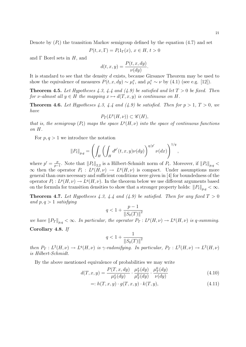Denote by  $(P_t)$  the transition Markov semigroup defined by the equation (4.7) and set

$$
P(t, x, \Gamma) = P_t 1_{\Gamma}(x), x \in H, t > 0
$$

and  $\Gamma$  Borel sets in  $H$ , and

$$
d(t, x, y) = \frac{P(t, x, dy)}{\nu(dy)}.
$$

It is standard to see that the density d exists, because Girsanov Theorem may be used to show the equivalence of measures  $P(t, x, dy) \sim \mu_t^x$ , and  $\mu_t^x \sim \nu$  by (4.1) (see e.g. [12]).

**Theorem 4.5.** Let Hypotheses 4.3, 4.4 and (4.9) be satisfied and let  $T > 0$  be fixed. Then for v-almost all  $y \in H$  the mapping  $x \mapsto d(T, x, y)$  is continuous on H.

**Theorem 4.6.** Let Hypotheses 4.3, 4.4 and (4.9) be satisfied. Then for  $p > 1$ ,  $T > 0$ , we have

$$
P_T(L^p(H,\nu)) \subset \mathscr{C}(H),
$$

that is, the semigroup  $(P_t)$  maps the space  $L^p(H,\nu)$  into the space of continuous functions on H.

For  $p, q > 1$  we introduce the notation

$$
||P_t||_{p,q} = \left( \int_H \left( \int_H d^{p'}(t,x,y) \nu(dy) \right)^{q/p'} \nu(dx) \right)^{1/q},
$$

where  $p' = \frac{p}{n}$  $\frac{p}{p-1}$ . Note that  $||P_t||_{2,2}$  is a Hilbert-Schmidt norm of  $P_t$ . Moreover, if  $||P_t||_{p,q}$  <  $\infty$  then the operator  $P_t: L^p(H,\nu) \to L^q(H,\nu)$  is compact. Under assumptions more general than ours necessary and sufficient conditions were given in [4] for boundedness of the operator  $P_t: L^p(H, \nu) \to L^q(H, \nu)$ . In the theorem below we use different arguments based on the formula for transition densities to show that a stronger property holds:  $||P_t||_{p,q} < \infty$ .

**Theorem 4.7.** Let Hypotheses 4.3, 4.4 and (4.9) be satisfied. Then for any fixed  $T > 0$ and  $p, q > 1$  satisfying

$$
q < 1 + \frac{p - 1}{\|S_0(T)\|^2}
$$

we have  $||P_T||_{p,q} < \infty$ . In particular, the operator  $P_T : L^p(H, \nu) \to L^q(H, \nu)$  is q-summing.

Corollary 4.8. If

$$
q < 1 + \frac{1}{\|S_0(T)\|^2}
$$

then  $P_T: L^2(H,\nu) \to L^q(H,\nu)$  is  $\gamma$ -radonifying. In particular,  $P_T: L^2(H,\nu) \to L^2(H,\nu)$ is Hilbert-Schmidt.

By the above mentioned equivalence of probabilities we may write

$$
d(T, x, y) = \frac{P(T, x, dy)}{\mu_T^x(dy)} \cdot \frac{\mu_T^x(dy)}{\mu_T^0(dy)} \cdot \frac{\mu_T^0(dy)}{\nu(dy)}
$$
(4.10)

$$
=: h(T, x, y) \cdot g(T, x, y) \cdot k(T, y), \qquad (4.11)
$$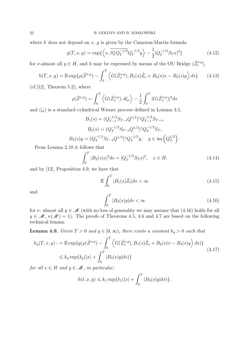where  $k$  does not depend on  $x, g$  is given by the Cameron-Martin formula

$$
g(T, x, y) = \exp\left\{ \left\langle x, \overline{S_T^* Q_T^{-1/2}} Q_T^{-1/2} y \right\rangle - \frac{1}{2} |Q_T^{-1/2} S_T x|^2 \right\}
$$
(4.12)

for *ν*-almost all  $y \in H$ , and *h* may be expressed by means of the OU Bridge  $(\hat{Z}_t^{x,y})$ ,

$$
h(T, x, y) = \mathbb{E} \exp \{ \rho(\hat{Z}^{x, y}) - \int_0^T \left\langle G(\hat{Z}_s^{x, y}), B_1(s)\hat{Z}_s + B_2(s)x - B_3(s)y \right\rangle ds \} \tag{4.13}
$$

 $(cf.[12]$ , Theorem 5.2), where

$$
\rho(\hat{Z}^{x,y}) = \int_0^T \left\langle G(\hat{Z}_s^{x,y}), d\zeta_s \right\rangle - \frac{1}{2} \int_0^T |G(\hat{Z}_s^{x,y})|^2 ds
$$

and  $(\zeta_t)$  is a standard cylindrical Wiener process defined in Lemma 3.5,

$$
B_1(s) = (Q_{T-s}^{-1/2} S_{T-s} Q^{1/2})^* Q_{T-s}^{-1/2} S_{T-s},
$$
  
\n
$$
B_2(s) = (Q_T^{-1/2} S_{T-s} Q^{1/2})^* Q_T^{-1/2} S_T,
$$
  
\n
$$
B_3(s)y = (Q_T^{-1/2} S_{T-s} Q^{1/2})^* Q_T^{-1/2} y, \quad y \in \text{im} \left( Q_T^{1/2} \right).
$$

From Lemma 2.10 it follows that

$$
\int_0^T |B_2(s)x|^2 ds = |Q_T^{-1/2} S_T x|^2, \quad x \in H,
$$
\n(4.14)

and by [12], Proposition 4.9, we have that

$$
\mathbb{E}\int_{0}^{T}|B_{1}(s)\hat{Z}_{t}|ds<\infty
$$
\n(4.15)

and

$$
\int_0^T |B_3(s)y|ds < \infty \tag{4.16}
$$

for  $\nu$ - almost all  $y \in \mathcal{M}$  (with no loss of generality we may assume that (4.16) holds for all  $y \in \mathcal{M}, \nu(\mathcal{M}) = 1$ . The proofs of Theorems 4.5, 4.6 and 4.7 are based on the following technical lemma:

**Lemma 4.9.** Given  $T > 0$  and  $q \in [0, \infty)$ , there exists a constant  $k_q > 0$  such that

$$
h_q(T, x, y) := \mathbb{E} \exp\{q(\rho(\hat{Z}^{x, y}) - \int_0^T \left\langle G(\hat{Z}_s^{x, y}), B_1(s)\hat{Z}_s + B_2(s)x - B_3(s)y\right\rangle ds)\} \n\leq k_q \exp\{k_q(|x| + \int_0^T |B_3(s)y|ds)\}
$$
\n(4.17)

for all  $x \in H$  and  $y \in \mathcal{M}$ , in particular,

$$
h(t, x, y) \leq k_1 \exp{k_1(|x| + \int_0^T |B_3(s)y| ds)}.
$$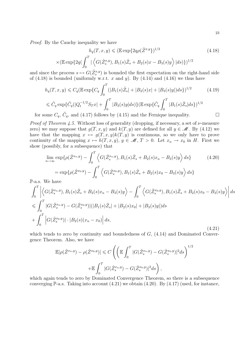Proof. By the Cauchy inequality we have

$$
h_q(T, x, y) \le (\mathbb{E} \exp\{2q\rho(\hat{Z}^{x,y})\}^{1/2})
$$
\n
$$
\times (\mathbb{E} \exp\{2q(\int_0^T |\langle G(\hat{Z}_s^{x,y}), B_1(s)\hat{Z}_s + B_2(s)x - B_3(s)y\rangle |ds)\})^{1/2}
$$
\n(4.18)

and since the process  $s \mapsto G(\hat{Z}_{s}^{x,y})$  is bounded the first expectation on the right-hand side of  $(4.18)$  is bounded (uniformly w.r.t. x and y). By  $(4.14)$  and  $(4.16)$  we thus have

$$
h_q(T, x, y) \leq C_q (\mathbb{E} \exp\{C_q \int_0^T (|B_1(s)\hat{Z}_s| + |B_2(s)x| + |B_3(s)y|)ds\})^{1/2}
$$
(4.19)  

$$
\leq \tilde{C}_q \exp\{\tilde{C}_q(|Q_t^{-1/2}S_Tx| + \int_0^T |B_3(s)y|ds)\} (\mathbb{E} \exp\{\tilde{C}_q \int_0^T |B_1(s)\hat{Z}_s|ds\})^{1/2}
$$

for some  $C_q$ ,  $\tilde{C}_q$ , and (4.17) follows by (4.15) and the Fernique inequality.

*Proof of Theorem 4.5.* Without loss of generality (dropping, if necessary, a set of  $\nu$ -measure zero) we may suppose that  $g(T, x, y)$  and  $k(T, y)$  are defined for all  $y \in \mathcal{M}$ . By (4.12) we have that the mapping  $x \mapsto g(T, x, y)k(T, y)$  is continuous, so we only have to prove continuity of the mapping  $x \mapsto h(T, x, y), y \in \mathcal{M}, T > 0$ . Let  $x_n \to x_0$  in H. First we show (possibly, for a subsequence) that

$$
\lim_{n \to \infty} \exp \{ \rho(\hat{Z}^{x_n, y}) - \int_0^T \left\langle G(\hat{Z}_s^{x_n, y}), B_1(s)\hat{Z}_s + B_2(s)x_n - B_3(s)y \right\rangle ds \} \tag{4.20}
$$
\n
$$
= \exp \{ \rho(\hat{Z}^{x_0, y}) - \int_0^T \left\langle G(\hat{Z}_s^{x_0, y}), B_1(s)\hat{Z}_s + B_2(s)x_0 - B_3(s)y \right\rangle ds \}
$$

P-a.s. We have

$$
\int_{0}^{T} \left| \left\langle G(\hat{Z}_{s}^{x_{n},y}), B_{1}(s)\hat{Z}_{s} + B_{2}(s)x_{n} - B_{3}(s)y \right\rangle - \int_{0}^{T} \left\langle G(\hat{Z}_{s}^{x_{0},y}), B_{1}(s)\hat{Z}_{s} + B_{2}(s)x_{0} - B_{3}(s)y \right\rangle \right| ds
$$
  
\n
$$
\leq \int_{0}^{T} |G(\hat{Z}_{s}^{x_{n},y}) - G(\hat{Z}_{s}^{x_{0},y})| (|B_{1}(s)\hat{Z}_{s}| + |B_{2}(s)x_{0}| + |B_{3}(s)y|) ds
$$
  
\n
$$
+ \int_{0}^{T} |G(\hat{Z}_{s}^{x_{0},y})| \cdot |B_{2}(s)(x_{n} - x_{0})| ds,
$$
\n(4.21)

which tends to zero by continuity and boundedness of  $G$ ,  $(4.14)$  and Dominated Convergence Theorem. Also, we have

$$
\mathbb{E}|\rho(\hat{Z}^{x_n,y}) - \rho(\hat{Z}^{x_0,y})| \leq C \left( \left( \mathbb{E} \int_0^T |G(\hat{Z}_s^{x_n,y}) - G(\hat{Z}_s^{x_0,y})|^2 ds \right)^{1/2} + \mathbb{E} \int_0^T |G(\hat{Z}_s^{x_n,y}) - G(\hat{Z}_s^{x_0,y})|^2 ds \right),
$$

which again tends to zero by Dominated Convergence Theorem, so there is a subsequence converging  $\mathbb{P}\text{-a.s.}$  Taking into account  $(4.21)$  we obtain  $(4.20)$ . By  $(4.17)$  (used, for instance,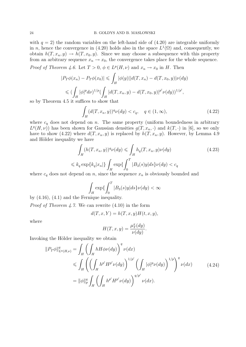with  $q = 2$ ) the random variables on the left-hand side of  $(4.20)$  are integrable uniformly in n, hence the convergence in (4.20) holds also in the space  $L^1(\Omega)$  and, consequently, we obtain  $h(T, x_n, y) \to h(T, x_0, y)$ . Since we may choose a subsequence with this property from an arbitrary sequence  $x_n \to x_0$ , the convergence takes place for the whole sequence.

*Proof of Theorem 4.6.* Let  $T > 0$ ,  $\phi \in L^p(H, \nu)$  and  $x_n \to x_0$  in H. Then

$$
|P_T\phi(x_n) - P_T\phi(x_0)| \leq \int_H |\phi(y)| |d(T, x_n) - d(T, x_0, y)| \nu(dy)
$$
  
\n
$$
\leq (\int_H |\phi|^p d\nu)^{1/p} (\int_H |d(T, x_n, y) - d(T, x_0, y)|^{p'} \nu(dy))^{1/p'},
$$
  
\n4.5 it suffices to show that

so by Theorem 4.5 it suffices to show that

$$
\int_{H} (d(T, x_n, y))^q \nu(dy) < c_q, \quad q \in (1, \infty), \tag{4.22}
$$

where  $c_q$  does not depend on n. The same property (uniform boundedness in arbitrary  $L^q(H, \nu)$  has been shown for Gaussian densities  $g(T, x_n, \cdot)$  and  $k(T, \cdot)$  in [6], so we only have to show (4.22) where  $d(T, x_n, y)$  is replaced by  $h(T, x_n, y)$ . However, by Lemma 4.9 and Hölder inequality we have

$$
\int_{H} (h(T, x_n, y))^q \nu(dy) \le \int_{H} h_q(T, x_n, y) \nu(dy)
$$
\n
$$
\le k_q \exp\{k_q |x_n|\} \int_{H} \exp\{\int_0^T |B_3(s)y| ds\} \nu(dy) < c_q
$$
\ndenoted on  $x_n$  since the sequence  $x_n$  is obviously bounded and

where  $c_q$  does not depend on n, since the sequence  $x_n$  is obviously bounded and

$$
\int_H \exp\{\int_0^T |B_3(s)y|ds\} \nu(dy) < \infty
$$

by (4.16), (4.1) and the Fernique inequality.

*Proof of Theorem 4.7.* We can rewrite  $(4.10)$  in the form

$$
d(T, x, Y) = h(T, x, y)H(t, x, y),
$$

where

$$
H(T, x, y) = \frac{\mu_T^x(dy)}{\nu(dy)}.
$$

Invoking the Hölder inequality we obtain

$$
||P_T \phi||_{L^q(H,\nu)}^q = \int_H \left( \int_H h H \phi \nu(dy) \right)^q \nu(dx)
$$
  
\n
$$
\leq \int_H \left( \left( \int_H h^{p'} H^{p'} \nu(dy) \right)^{1/p'} \left( \int_H |\phi|^p \nu(dy) \right)^{1/p} \right)^q \nu(dx)
$$
  
\n
$$
= ||\phi||_p^q \int_H \left( \int_H h^{p'} H^{p'} \nu(dy) \right)^{q/p'} \nu(dx).
$$
\n(4.24)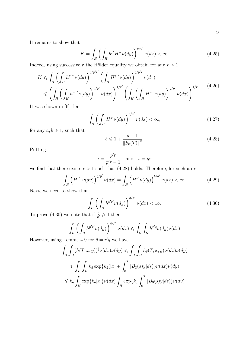It remains to show that

$$
K = \int_{H} \left( \int_{H} h^{p'} H^{p'} \nu(dy) \right)^{q/p'} \nu(dx) < \infty. \tag{4.25}
$$

Indeed, using successively the Hölder equality we obtain for any  $r > 1$ 

$$
K \leqslant \int_{H} \left( \int_{H} h^{p'r'} \nu(dy) \right)^{q/p'r'} \left( \int_{H} H^{p'r} \nu(dy) \right)^{q/p'r} \nu(dx)
$$
  
 
$$
\leqslant \left( \int_{H} \left( \int_{H} h^{p'r'} \nu(dy) \right)^{q/p'} \nu(dx) \right)^{1/r'} \left( \int_{H} \left( \int_{H} H^{p'r} \nu(dy) \right)^{q/p'} \nu(dx) \right)^{1/r} . \tag{4.26}
$$

It was shown in [6] that

$$
\int_{H} \left( \int_{H} H^{a'} \nu(dy) \right)^{b/a'} \nu(dx) < \infty,\tag{4.27}
$$

for any  $a, b \geq 1$ , such that

$$
b \leq 1 + \frac{a - 1}{\|S_0(T)\|^2}.
$$
\n(4.28)

Putting

$$
a = \frac{p'r}{p'r - 1} \quad \text{and} \quad b = qr,
$$

we find that there exists  $r > 1$  such that (4.28) holds. Therefore, for such an r

$$
\int_{H} \left( H^{p'r} \nu(dy) \right)^{q/p'} \nu(dx) = \int_{H} \left( H^{a'} \nu(dy) \right)^{b/a'} \nu(dx) < \infty.
$$
\n(4.29)

Next, we need to show that

$$
\int_{H} \left( \int_{H} h^{p'r'} \nu(dy) \right)^{q/p'} \nu(dx) < \infty. \tag{4.30}
$$

To prove (4.30) we note that if  $\frac{q}{p'} \geq 1$  then

$$
\int_H \left( \int_H h^{p'r'} \nu(dy) \right)^{q/p'} \nu(dx) \leq \int_H \int_H h^{r'q} \nu(dy) \nu(dx)
$$

However, using Lemma 4.9 for  $\tilde{q} = r'q$  we have

$$
\int_H \int_H (h(T, x, y))^{\tilde{q}} \nu(dx) \nu(dy) \le \int_H \int_H h_{\tilde{q}}(T, x, y) \nu(dx) \nu(dy)
$$
  
\n
$$
\le \int_H \int_H k_{\tilde{q}} \exp\{k_{\tilde{q}}(|x| + \int_0^T |B_3(s)y|ds)\} \nu(dx) \nu(dy)
$$
  
\n
$$
\le k_{\tilde{q}} \int_H \exp\{k_{\tilde{q}}|x|\} \nu(dx) \int_H \exp\{k_{\tilde{q}} \int_0^T |B_3(s)y|ds\} \nu(dy)
$$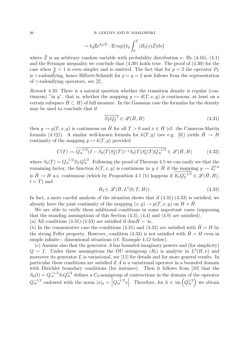$$
= k_{\tilde{q}} \mathbb{E} e^{k_{\tilde{q}}|\tilde{Z}|} \cdot \mathbb{E} \exp\{k_{\tilde{q}} \int_0^T |B_3(s)\tilde{Z}|ds\}
$$

where  $\tilde{Z}$  is an arbitrary random variable with probability distribution  $\nu$ . By (4.16), (4.1) and the Fernique inequality we conclude that (4.30) holds true. The proof of (4.30) for the case when  $\frac{q}{p'} < 1$  is even simpler and is omitted. The fact that for  $p = 2$  the operator  $P_T$ is  $\gamma$ -radonifying, hence Hilbert-Schmidt for  $p = q = 2$  now follows from the representation of  $\gamma$ -radonifying operators, see [2].

Remark 4.10. There is a natural question whether the transition density is regular (continuous) "in y", that is, whether the mapping  $y \mapsto d(T, x, y)$  is continuous, at least on a certain subspace  $H \subset H$ ) of full measure. In the Gaussian case the formulas for the density may be used to conclude that if

$$
\overline{S_T^* Q_T^{-1}} \in \mathcal{L}(\hat{H}, H) \tag{4.31}
$$

then  $y \to q(T, x, y)$  is continuous on  $\hat{H}$  for all  $T > 0$  and  $x \in H$  (cf. the Cameron-Martin formula (4.12)). A similar well-known formula for  $k(T, y)$  (see e.g. [6]) yields  $\hat{H} \to H$ continuity of the mapping  $y \mapsto k(T, y)$  provided

$$
C(T) := \overline{Q_{\infty}^{-1/2}(I - S_0(T)S_0^*(T))^{-1}S_0(T)S_0^*(T)Q_{\infty}^{-1/2}} \in \mathcal{L}(\hat{H}, H)
$$
(4.32)

where  $S_0(T) = Q_{\infty}^{-1/2} S_T Q_{\infty}^{1/2}$ . Following the proof of Theorem 4.5 we can easily see that the remaining factor, the function  $h(T, x, y)$  is continuous in  $y \in \hat{H}$  if the mapping  $y \to \hat{Z}_t^{x, y}$ is  $\hat{H} \to H$  a.s. continuous (which by Proposition 4.1 (b) happens if  $K_t Q_T^{-1/2} \in \mathscr{L}(\hat{H}, H)$ ,  $t < T$  and

$$
B_3 \in \mathcal{L}(\hat{H}, L^1(0, T; H)).
$$
\n(4.33)

In fact, a more careful analysis of the situation shows that if  $(4.31)-(4.33)$  is satisfied, we already have the joint continuity of the mapping  $(x, y) \to p(T, x, y)$  on  $H \times H$ .

We are able to verify these additional conditions in some important cases (supposing that the standing assumptions of this Section (4.3), (4.4) and (4.9) are satisfied). (a) All conditions (4.31)-(4.33) are satisfied if dim  $H < \infty$ .

(b) In the commutative case the conditions (4.31) and (4.32) are satisfied with  $H = H$  by the strong Feller property. However, condition (4.33) is not satisfied with  $\hat{H} = H$  even in simple infinite - dimensional situations (cf. Example 4.12 below).

(c) Assume also that the generator A has bounded imaginary powers and (for simplicity)  $Q = I$ . Under these assumptions the OU semigroup  $(R_t)$  is analytic in  $L^2(H, \nu)$  and moreover its generator  $L$  is variational, see [11] for details and for more general results. In particular these conditions are satisfied if A is a variational operator in a bounded domain with Dirichlet boundary conditions (for instance). Then it follows from [10] that the  $S_0(t) = Q_{\infty}^{-1/2} S_t Q_{\infty}^{1/2}$  defines a  $C_0$ -semigroup of contractions in the domain of the operator  $Q_{\infty}^{-1/2}$  endowed with the norm  $|x|_0 = |Q_{\infty}^{-1/2}x|$ . Therefore, for  $h \in \text{im}(Q_{\infty}^{1/2})$  we obtain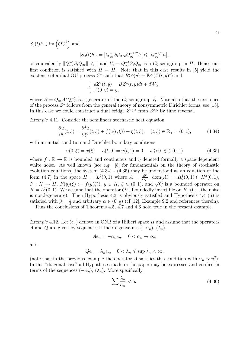$S_0(t)h \in \text{im}\left(Q_\infty^{1/2}\right)$  and

$$
|S_0(t)h|_0 = |Q_\infty^{-1} S_t Q_\infty Q_\infty^{-1/2} h| \leq |Q_\infty^{-1/2} h|,
$$

or equivalently  $||Q_\infty^{-1}S_tQ_\infty|| \leq 1$  and  $V_t = Q_\infty^{-1}S_tQ_\infty$  is a  $C_0$ -semigroup in H. Hence our first condition is satisfied with  $\hat{H} = H$ . Note that in this case results in [5] yield the existence of a dual OU process  $Z^*$  such that  $R_t^* \phi(y) = \mathbb{E} \phi(Z(t, y)^*)$  and

$$
\begin{cases}\ndZ^*(t,y) = BZ^*(t,y)dt + dW_t, \\
Z(0,y) = y,\n\end{cases}
$$

where  $B = Q_{\infty} A^* Q_{\infty}^{-1}$  is a generator of the  $C_0$ -semigroup  $V_t$ . Note also that the existence of the process  $Z^*$  follows from the general theory of nonsymmetric Dirichlet forms, see [15]. In this case we could construct a dual bridge  $Z^{*y,x}$  from  $Z^{x,y}$  by time reversal.

Example 4.11. Consider the semilinear stochastic heat equation

$$
\frac{\partial u}{\partial t}(t,\xi) = \frac{\partial^2 u}{\partial \xi^2}(t,\xi) + f(u(t,\xi)) + \eta(t,\xi), \quad (t,\xi) \in \mathbb{R}_+ \times (0,1),\tag{4.34}
$$

with an initial condition and Dirichlet boundary conditions

$$
u(0,\xi) = x(\xi), \quad u(t,0) = u(t,1) = 0, \quad t \ge 0, \xi \in (0,1)
$$
\n
$$
(4.35)
$$

where  $f : \mathbb{R} \to \mathbb{R}$  is bounded and continuous and  $\eta$  denoted formally a space-dependent white noise. As well known (see e.g. [8] for fundamentals on the theory of stochastic evolution equations) the system (4.34) - (4.35) may be understood as an equation of the form (4.7) in the space  $H = L^2(0,1)$  where  $A = \frac{\partial^2}{\partial t^2}$  $\frac{\partial^2}{\partial \xi^2}$ , dom(A) =  $H_0^1(0,1) \cap H^2(0,1)$ , F:  $H \to H$ ,  $F(y)(\xi) := f(y(\xi))$ ,  $y \in H$ ,  $\xi \in (0,1)$ , and  $\sqrt{Q}$  is a bounded operator on  $H = L<sup>2</sup>(0, 1)$ . We assume that the operator Q is boundedly invertible on H, (i.e., the noise is nondegenerate). Then Hypothesis 4.3 is obviously satisfied and Hypothesis 4.4 (ii) is satisfied with  $\beta = \frac{1}{2}$  $\frac{1}{2}$  and arbitrary  $\alpha \in (0, \frac{1}{2})$  $\frac{1}{2}$ ) (cf.[12], Example 9.2 and references therein).

Thus the conclusions of Theorems 4.5,  $\overline{4.7}$  and 4.6 hold true in the present example.

Example 4.12. Let  $(e_n)$  denote an ONB of a Hilbert space H and assume that the operators A and Q are given by sequences if their eigenvalues  $(-\alpha_n)$ ,  $(\lambda_n)$ ,

$$
Ae_n = -\alpha_n e_n, \quad 0 < \alpha_n \to \infty,
$$

and

$$
Qe_n = \lambda_n e_n, \quad 0 < \lambda_n \leqslant \sup \lambda_n < \infty,
$$

(note that in the previous example the operator A satisfies this condition with  $\alpha_n \sim n^2$ ). In this "diagonal case" all Hypotheses made in the paper may be expressed and verified in terms of the sequences  $(-\alpha_n)$ ,  $(\lambda_n)$ . More specifically,

$$
\sum \frac{\lambda_n}{\alpha_n} < \infty \tag{4.36}
$$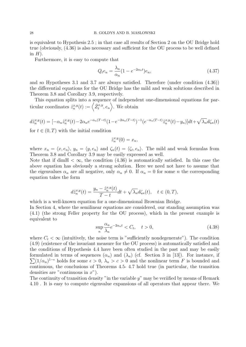is equivalent to Hypothesis 2.5 ; in that case all results of Section 2 on the OU Bridge hold true (obviously, (4.36) is also necessary and sufficient for the OU process to be well defined in  $H$ ).

Furthermore, it is easy to compute that

$$
Q_t e_n = \frac{\lambda_n}{\alpha_n} (1 - e^{-2\alpha_n t}) e_n,
$$
\n(4.37)

and so Hypotheses 3.1 and 3.7 are always satisfied. Therefore (under condition (4.36)) the differential equations for the OU Bridge has the mild and weak solutions described in Theorem 3.8 and Corollary 3.9, respectively.

This equation splits into a sequence of independent one-dimensional equations for particular coordinates  $\hat{z}_n^{x,y}(t) := \left\langle \hat{Z}_t^{x,y}, e_n \right\rangle$ . We obtain

$$
d\hat{z}_n^{x,y}(t) = [-\alpha_n \hat{z}_n^{x,y}(t) - 2\alpha_n e^{-\alpha_n (T-t)} (1 - e^{-2\alpha_n (T-t)})^{-1} (e^{-\alpha_n (T-t)} \hat{z}_n^{x,y}(t) - y_n)] dt + \sqrt{\lambda_n} d\zeta_n(t)
$$

for  $t \in (0, T)$  with the initial condition

$$
\hat{z}_n^{x,y}(0) = x_n,
$$

where  $x_n = \langle x, e_n \rangle$ ,  $y_n = \langle y, e_n \rangle$  and  $\zeta_n(t) = \langle \zeta_t, e_n \rangle$ . The mild and weak formulas from Theorem 3.8 and Corollary 3.9 may be easily expressed as well.

Note that if dim  $K < \infty$ , the condition (4.36) is automatically satisfied. In this case the above equation has obviously a strong solution. Here we need not have to assume that the eigenvalues  $\alpha_n$  are all negative, only  $\alpha_n \neq 0$ . If  $\alpha_n = 0$  for some n the corresponding equation takes the form

$$
d\hat{z}_n^{x,y}(t) = \frac{y_n - \hat{z}_n^{x,y}(t)}{T - t}dt + \sqrt{\lambda_n}d\zeta_n(t), \quad t \in (0, T),
$$

which is a well-known equation for a one-dimensional Brownian Bridge. In Section 4, where the semilinear equations are considered, our standing assumption was (4.1) (the strong Feller property for the OU process), which in the present example is equivalent to

$$
\sup_{n} \frac{\alpha_n}{\lambda_n} e^{-2\alpha_n t} < C_t, \quad t > 0,\tag{4.38}
$$

where  $C_t < \infty$  (intuitively, the noise term is "sufficiently nondegenerate"). The condition (4.9) (existence of the invariant measure for the OU process) is automatically satisfied and the conditions of Hypothesis 4.4 have been often studied in the past and may be easily  $\sum (1/\alpha_n)^{1-\epsilon}$  holds for some  $\epsilon > 0$ ,  $\lambda_n > c > 0$  and the nonlinear term F is bounded and formulated in terms of sequences  $(\alpha_n)$  and  $(\lambda_n)$  (cf. Section 3 in [13]). For instance, if continuous, the conclusions of Theorems 4.5- 4.7 hold true (in particular, the transition densities are "continuous in  $x$ ").

The continuity of transition density "in the variable  $y$ " may be veriified by means of Remark 4.10 . It is easy to compute eigenvalue expansions of all operators that appear there. We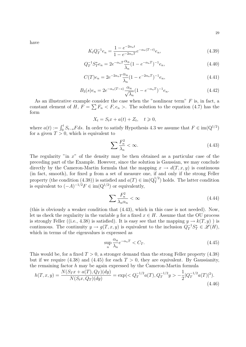have

$$
K_t Q_T^{-1} e_n = \frac{1 - e^{-2\alpha_n t}}{1 - e^{-2\alpha_n T}} e^{-\alpha_n (T - t)} e_n,
$$
\n(4.39)

$$
Q_T^{-1} S_T^* e_n = 2e^{-\alpha_n T} \frac{\alpha_n}{\lambda_n} (1 - e^{-\alpha_n T})^{-1} e_n,
$$
\n(4.40)

$$
C(T)e_n = 2e^{-2\alpha_n T} \frac{\alpha_n}{\lambda_n} (1 - e^{-2\alpha_n T})^{-1} e_n,
$$
\n(4.41)

$$
B_3(s)e_n = 2e^{-\alpha_n(T-s)}\frac{\alpha_n}{\sqrt{\lambda_n}}(1 - e^{-\alpha_n T})^{-1}e_n.
$$
\n(4.42)

As an illustrative example consider the case when the "nonlinear term"  $F$  is, in fact, a constant element of H,  $F = \sum F_n < F, e_n >$ . The solution to the equation (4.7) has the form

$$
X_t = S_t x + a(t) + Z_t, \quad t \geq 0,
$$

where  $a(t) := \int_0^t S_{t-s} F ds$ . In order to satisfy Hypothesis 4.3 we assume that  $F \in \text{im}(Q^{1/2})$ for a given  $T > 0$ , which is equivalent to

$$
\sum \frac{F_n^2}{\lambda_n} < \infty. \tag{4.43}
$$

The regularity "in  $x$ " of the density may be then obtained as a particular case of the preceding part of the Example. However, since the solution is Gaussian, we may conclude directly by the Cameron-Martin formula that the mapping  $x \to d(T, x, y)$  is continuous (in fact, smooth), for fixed y from a set of measure one, if and only if the strong Feller property (the condition (4.38)) is satisfied and  $a(T) \in im(Q_T^{1/2})$  holds. The latter condition is equivalent to  $(-A)^{-1/2}F \in \text{im}(\mathbb{Q}^{1/2})$  or equivalently,

$$
\sum \frac{F_n^2}{\lambda_n \alpha_n} < \infty \tag{4.44}
$$

(this is obviously a weaker condition that (4.43), which in this case is not needed). Now, let us check the regularity in the variable y for a fixed  $x \in H$ . Assume that the OU process is strongly Feller ((i.e., 4.38) is satisfied). It is easy see that the mapping  $y \to k(T, y)$ ) is continuous. The continuity  $y \to g(T, x, y)$  is equivalent to the inclusion  $Q_T^{-1}S_T^* \in \mathscr{L}(H)$ , which in terms of the eigenvalues is expressed as

$$
\sup_{n} \frac{\alpha_n}{\lambda_n} e^{-\alpha_n T} < C_T. \tag{4.45}
$$

This would be, for a fixed  $T > 0$ , a stronger demand than the strong Feller property (4.38) but if we require (4.38) and (4.45) for each  $T > 0$ , they are equivalent. By Gaussianity, the remaining factor h may be again expressed by the Cameron-Martin formula

$$
h(T, x, y) = \frac{N(S_T x + a(T), Q_T)(dy)}{N(S_t x, Q_T)(dy)} = \exp\left(\frac{Q_T^{-1/2} a(T), Q_T^{-1/2} y\right) - \frac{1}{2} |Q_T^{-1/2} a(T)|^2\right). \tag{4.46}
$$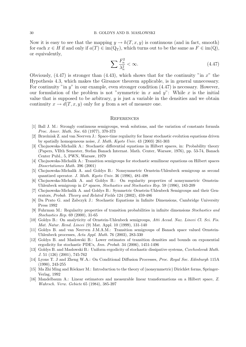Now it is easy to see that the mapping  $y \to h(T, x, y)$  is continuous (and in fact, smooth) for each  $x \in H$  if and only if  $a(T) \in im(Q_T)$ , which turns out to be the same as  $F \in im(Q)$ , or equivalently,

$$
\sum \frac{F_n^2}{\lambda_n^2} < \infty. \tag{4.47}
$$

Obviously,  $(4.47)$  is stronger than  $(4.43)$ , which shows that for the continuity "in x" the Hypothesis 4.3, which makes the Girsanov theorem applicable, is in general unnecessary. For continuity "in y" in our example, even stronger condition  $(4.47)$  is necessary. However, our formulation of the problem is not "symmetric in x and  $y$ ": While x is the initial value that is supposed to be arbitrary,  $y$  is just a variable in the densities and we obtain continuity  $x \to d(T, x, y)$  only for y from a set of measure one.

#### **REFERENCES**

- [1] Ball J. M.: Strongly continuous semigroups, weak solutions, and the variation of constants formula Proc. Amer. Math. Soc. 63 (1977), 370-373
- [2] Brze´zniak Z. and van Neerven J.: Space-time regularity for linear stochastic evolution equations driven by spatially homogeneous noise, J. Math. Kyoto Univ. 43 (2003) 261-303
- [3] Chojnowska-Michalik A.: Stochastic differential equations in Hilbert spaces, in: Probability theory (Papers, VIIth Semester, Stefan Banach Internat. Math. Center, Warsaw, 1976), pp. 53-74, Banach Center Publ., 5, PWN, Warsaw, 1979
- [4] Chojnowska-Michalik A.: Transition semigroups for stochastic semilinear equations on Hilbert spaces Dissertationes Math. 396 (2001)
- [5] Chojnowska-Michalik A. and Goldys B.: Nonsymmetric Ornstein-Uhlenbeck semigroup as second quantized operator. J. Math. Kyoto Univ. 36 (1996), 481-498
- [6] Chojnowska-Michalik A. and Goldys B.: On regularity properties of nonsymmetric Ornstein-Uhlenbeck semigroup in  $L^p$  spaces, Stochastics and Stochastics Rep. 59 (1996), 183-209
- [7] Chojnowska-Michalik A. and Goldys B.: Symmetric Ornstein-Uhlenbeck Semigroups and their Generators, Probab. Theory and Related Fields 124 (2002), 459-486
- [8] Da Prato G. and Zabczyk J.: Stochastic Equations in Infinite Dimensions, Cambridge University Press 1992
- [9] Fuhrman M.: Regularity properties of transition probabilities in infinite dimensions Stochastics and Stochastics Rep. 69 (2000), 31-65
- [10] Goldys B.: On analyticity of Ornstein-Uhlenbeck semigroups, Atti Accad. Naz. Lincei Cl. Sci. Fis. Mat. Natur. Rend. Lincei (9) Mat. Appl. 10 (1999), 131-140
- [11] Goldys B. and van Neerven J.M.A.M.: Transition semigroups of Banach space valued Ornstein-Uhlenbeck processes, Acta Appl. Math. 76 (2003), 283-330
- [12] Goldys B. and Maslowski B.: Lower estimates of transition densities and bounds on exponential ergodicity for stochastic PDE's, Ann. Probab. 34 (2006), 1451-1496
- [13] Goldys B. and Maslowski B.: Uniform ergodicity of stochastic dissipative systems, Czechoslovak Math. J. 51 (126) (2001), 745-762
- [14] Lyons T. J and Zheng W.A.: On Conditional Diffusion Processes, Proc. Royal Soc. Edinburgh 115A (1990), 243-255
- [15] Ma Zhi Ming and Röckner M.: Introduction to the theory of (nonsymmetric) Dirichlet forms, Springer-Verlag, 1992
- [16] Mandelbaum A.: Linear estimators and measurable linear transformations on a Hilbert space, Z. Wahrsch. Verw. Gebiete 65 (1984), 385-397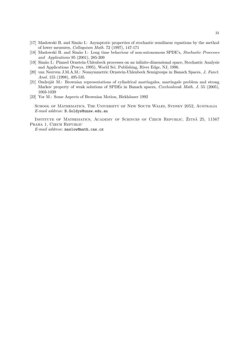- [17] Maslowski B. and Simão I.: Asymptotic properties of stochastic semilinear equations by the method of lower measures, Colloquium Math. 72 (1997), 147-171
- [18] Maslowski B. and Simão I.: Long time behaviour of non-autonomous SPDE's, Stochastic Processes and Applications 95 (2001), 285-309
- [19] Sim˜ao I.: Pinned Ornstein-Uhlenbeck processes on an infinite-dimensional space, Stochastic Analysis and Applications (Powys, 1995), World Sci. Publishing, River Edge, NJ, 1996.
- [20] van Neerven J.M.A.M.: Nonsymmetric Ornstein-Uhlenbeck Semigroups in Banach Spaces, J. Funct. Anal. 155 (1998), 495-535
- [21] Ondrejat M.: Brownian representations of cylindrical martingales, martingale problem and strong Markov property of weak solutions of SPDEs in Banach spaces, Czechoslovak Math. J. 55 (2005), 1003-1039
- [22] Yor M.: Some Aspects of Brownian Motion, Birkhäuser 1992

School of Mathematics, The University of New South Wales, Sydney 2052, Australia E-mail address: B.Goldys@unsw.edu.au

INSTITUTE OF MATHEMATICS, ACADEMY OF SCIENCES OF CZECH REPUBLIC, ŽITNÁ 25, 11567 PRAHA 1, CZECH REPUBLIC

E-mail address: maslow@math.cas.cz